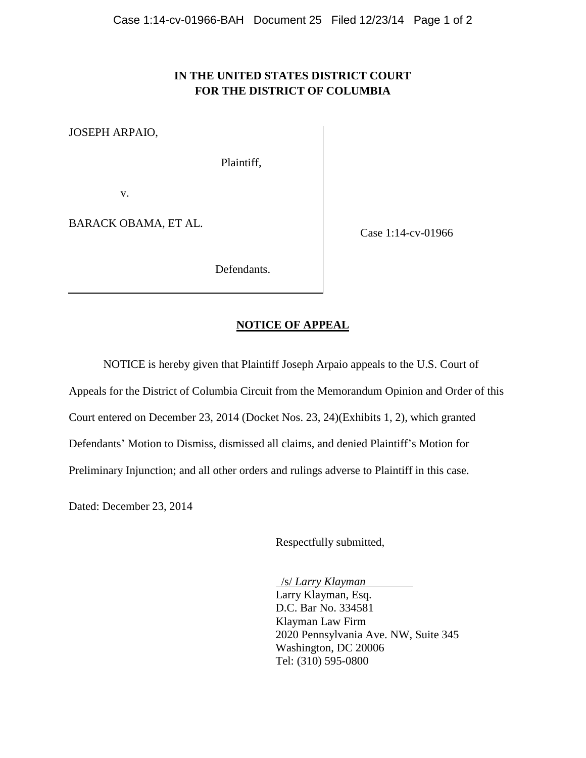# **IN THE UNITED STATES DISTRICT COURT FOR THE DISTRICT OF COLUMBIA**

JOSEPH ARPAIO,

Plaintiff,

v.

BARACK OBAMA, ET AL.

Case 1:14-cv-01966

Defendants.

# **NOTICE OF APPEAL**

NOTICE is hereby given that Plaintiff Joseph Arpaio appeals to the U.S. Court of

Appeals for the District of Columbia Circuit from the Memorandum Opinion and Order of this

Court entered on December 23, 2014 (Docket Nos. 23, 24)(Exhibits 1, 2), which granted

Defendants' Motion to Dismiss, dismissed all claims, and denied Plaintiff's Motion for

Preliminary Injunction; and all other orders and rulings adverse to Plaintiff in this case.

Dated: December 23, 2014

Respectfully submitted,

 /s/ *Larry Klayman* Larry Klayman, Esq. D.C. Bar No. 334581 Klayman Law Firm 2020 Pennsylvania Ave. NW, Suite 345 Washington, DC 20006 Tel: (310) 595-0800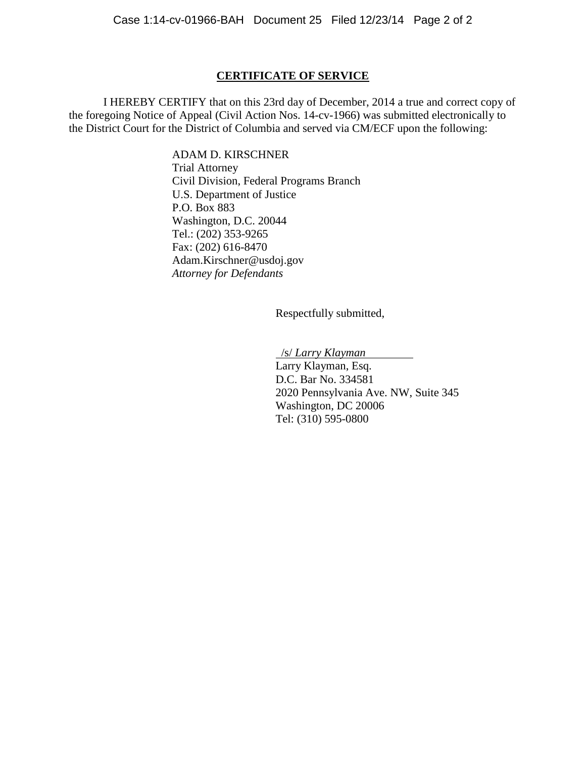# **CERTIFICATE OF SERVICE**

I HEREBY CERTIFY that on this 23rd day of December, 2014 a true and correct copy of the foregoing Notice of Appeal (Civil Action Nos. 14-cv-1966) was submitted electronically to the District Court for the District of Columbia and served via CM/ECF upon the following:

> ADAM D. KIRSCHNER Trial Attorney Civil Division, Federal Programs Branch U.S. Department of Justice P.O. Box 883 Washington, D.C. 20044 Tel.: (202) 353-9265 Fax: (202) 616-8470 Adam.Kirschner@usdoj.gov *Attorney for Defendants*

> > Respectfully submitted,

/s/ *Larry Klayman*

Larry Klayman, Esq. D.C. Bar No. 334581 2020 Pennsylvania Ave. NW, Suite 345 Washington, DC 20006 Tel: (310) 595-0800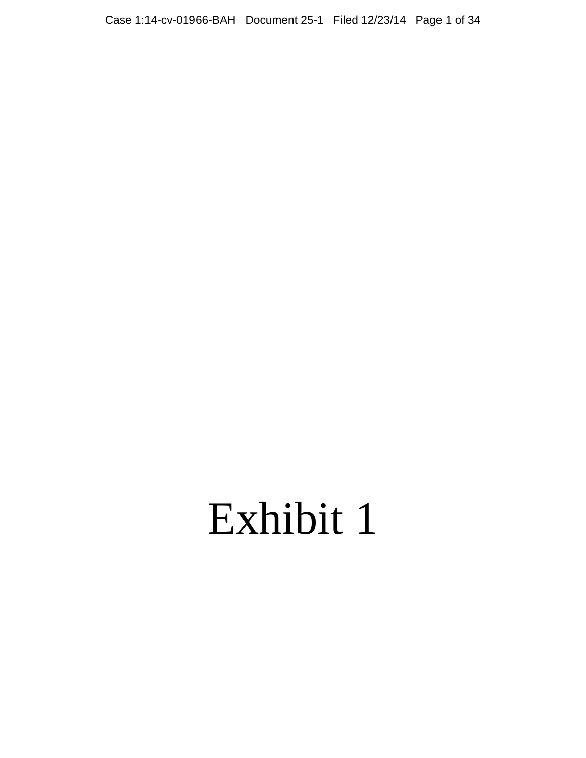# Exhibit 1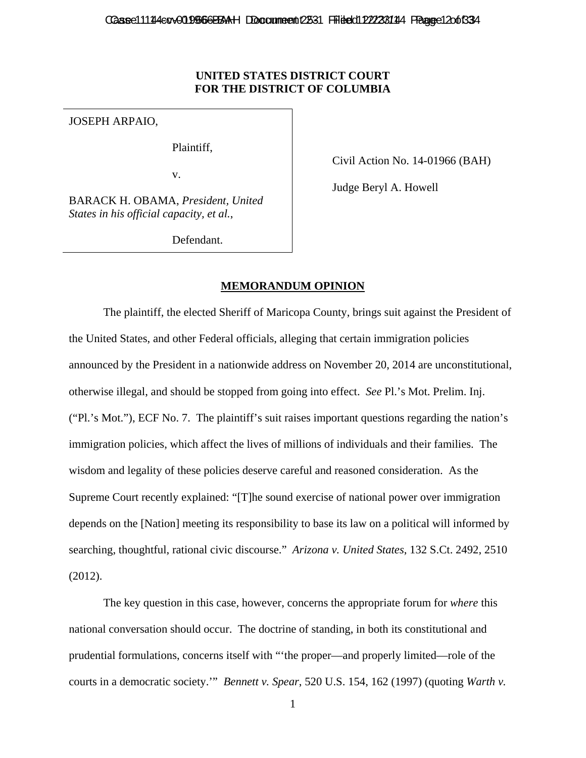## **UNITED STATES DISTRICT COURT FOR THE DISTRICT OF COLUMBIA**

JOSEPH ARPAIO,

Plaintiff,

v.

Civil Action No. 14-01966 (BAH)

Judge Beryl A. Howell

BARACK H. OBAMA, *President, United States in his official capacity, et al.*,

Defendant.

## **MEMORANDUM OPINION**

The plaintiff, the elected Sheriff of Maricopa County, brings suit against the President of the United States, and other Federal officials, alleging that certain immigration policies announced by the President in a nationwide address on November 20, 2014 are unconstitutional, otherwise illegal, and should be stopped from going into effect. *See* Pl.'s Mot. Prelim. Inj. ("Pl.'s Mot."), ECF No. 7. The plaintiff's suit raises important questions regarding the nation's immigration policies, which affect the lives of millions of individuals and their families. The wisdom and legality of these policies deserve careful and reasoned consideration. As the Supreme Court recently explained: "[T]he sound exercise of national power over immigration depends on the [Nation] meeting its responsibility to base its law on a political will informed by searching, thoughtful, rational civic discourse." *Arizona v. United States*, 132 S.Ct. 2492, 2510 (2012).

The key question in this case, however, concerns the appropriate forum for *where* this national conversation should occur. The doctrine of standing, in both its constitutional and prudential formulations, concerns itself with "'the proper—and properly limited—role of the courts in a democratic society.'" *Bennett v. Spear*, 520 U.S. 154, 162 (1997) (quoting *Warth v.*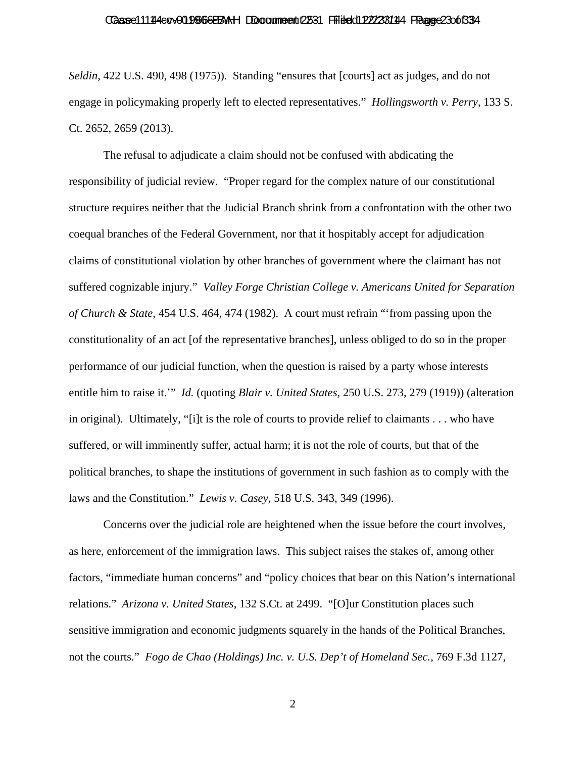#### Caase 111 14 4 cov 01 1966 6 BBAH Doccume ent 2531 Filied dit 22/23 114 Fague 2 3 of 33 4

*Seldin*, 422 U.S. 490, 498 (1975)). Standing "ensures that [courts] act as judges, and do not engage in policymaking properly left to elected representatives." *Hollingsworth v. Perry*, 133 S. Ct. 2652, 2659 (2013).

The refusal to adjudicate a claim should not be confused with abdicating the responsibility of judicial review. "Proper regard for the complex nature of our constitutional structure requires neither that the Judicial Branch shrink from a confrontation with the other two coequal branches of the Federal Government, nor that it hospitably accept for adjudication claims of constitutional violation by other branches of government where the claimant has not suffered cognizable injury." *Valley Forge Christian College v. Americans United for Separation of Church & State*, 454 U.S. 464, 474 (1982). A court must refrain "'from passing upon the constitutionality of an act [of the representative branches], unless obliged to do so in the proper performance of our judicial function, when the question is raised by a party whose interests entitle him to raise it.'" *Id.* (quoting *Blair v. United States*, 250 U.S. 273, 279 (1919)) (alteration in original). Ultimately, "[i]t is the role of courts to provide relief to claimants . . . who have suffered, or will imminently suffer, actual harm; it is not the role of courts, but that of the political branches, to shape the institutions of government in such fashion as to comply with the laws and the Constitution." *Lewis v. Casey*, 518 U.S. 343, 349 (1996).

Concerns over the judicial role are heightened when the issue before the court involves, as here, enforcement of the immigration laws. This subject raises the stakes of, among other factors, "immediate human concerns" and "policy choices that bear on this Nation's international relations." *Arizona v. United States*, 132 S.Ct. at 2499. "[O]ur Constitution places such sensitive immigration and economic judgments squarely in the hands of the Political Branches, not the courts." *Fogo de Chao (Holdings) Inc. v. U.S. Dep't of Homeland Sec.*, 769 F.3d 1127,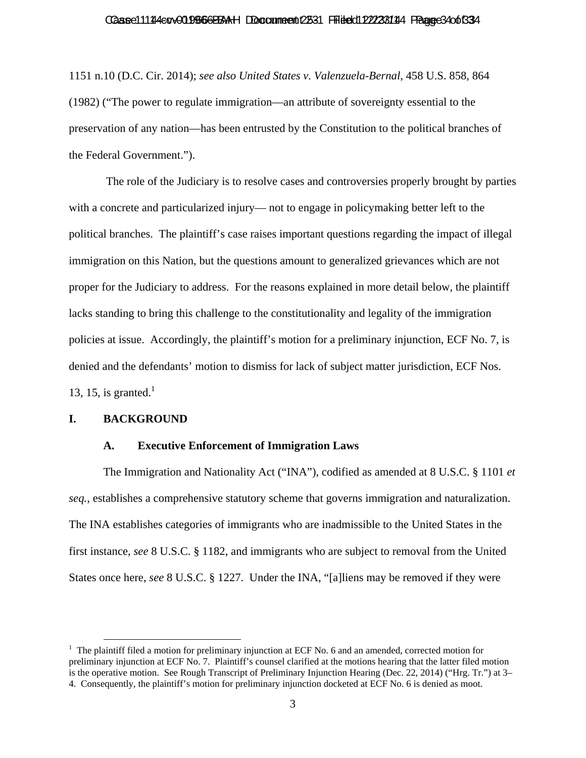#### Caase 11144 cov 019 666 BBAH Doccume ent 2531 Filied dit 22/23 144 France 3 4 of 33 4

1151 n.10 (D.C. Cir. 2014); *see also United States v. Valenzuela-Bernal*, 458 U.S. 858, 864 (1982) ("The power to regulate immigration—an attribute of sovereignty essential to the preservation of any nation—has been entrusted by the Constitution to the political branches of the Federal Government.").

 The role of the Judiciary is to resolve cases and controversies properly brought by parties with a concrete and particularized injury— not to engage in policymaking better left to the political branches. The plaintiff's case raises important questions regarding the impact of illegal immigration on this Nation, but the questions amount to generalized grievances which are not proper for the Judiciary to address. For the reasons explained in more detail below, the plaintiff lacks standing to bring this challenge to the constitutionality and legality of the immigration policies at issue. Accordingly, the plaintiff's motion for a preliminary injunction, ECF No. 7, is denied and the defendants' motion to dismiss for lack of subject matter jurisdiction, ECF Nos. 13, 15, is granted. $<sup>1</sup>$ </sup>

## **I. BACKGROUND**

#### **A. Executive Enforcement of Immigration Laws**

The Immigration and Nationality Act ("INA"), codified as amended at 8 U.S.C. § 1101 *et seq.*, establishes a comprehensive statutory scheme that governs immigration and naturalization. The INA establishes categories of immigrants who are inadmissible to the United States in the first instance, *see* 8 U.S.C. § 1182, and immigrants who are subject to removal from the United States once here, *see* 8 U.S.C. § 1227. Under the INA, "[a]liens may be removed if they were

<sup>&</sup>lt;sup>1</sup> The plaintiff filed a motion for preliminary injunction at ECF No. 6 and an amended, corrected motion for preliminary injunction at ECF No. 7. Plaintiff's counsel clarified at the motions hearing that the latter filed motion is the operative motion. See Rough Transcript of Preliminary Injunction Hearing (Dec. 22, 2014) ("Hrg. Tr.") at 3– 4. Consequently, the plaintiff's motion for preliminary injunction docketed at ECF No. 6 is denied as moot.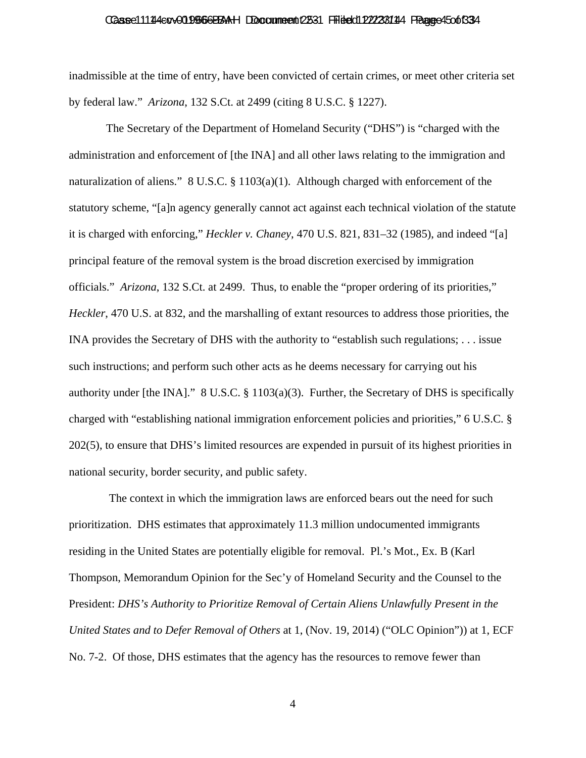#### Caase 111 14 4 cov 01 1966 6 BBAH Doccume ent 2531 Filied dit 22/23 114 Frage 6 4 5 of 33 4

inadmissible at the time of entry, have been convicted of certain crimes, or meet other criteria set by federal law." *Arizona*, 132 S.Ct. at 2499 (citing 8 U.S.C. § 1227).

 The Secretary of the Department of Homeland Security ("DHS") is "charged with the administration and enforcement of [the INA] and all other laws relating to the immigration and naturalization of aliens." 8 U.S.C. § 1103(a)(1). Although charged with enforcement of the statutory scheme, "[a]n agency generally cannot act against each technical violation of the statute it is charged with enforcing," *Heckler v. Chaney*, 470 U.S. 821, 831–32 (1985), and indeed "[a] principal feature of the removal system is the broad discretion exercised by immigration officials." *Arizona*, 132 S.Ct. at 2499. Thus, to enable the "proper ordering of its priorities," *Heckler*, 470 U.S. at 832, and the marshalling of extant resources to address those priorities, the INA provides the Secretary of DHS with the authority to "establish such regulations; . . . issue such instructions; and perform such other acts as he deems necessary for carrying out his authority under [the INA]." 8 U.S.C. § 1103(a)(3). Further, the Secretary of DHS is specifically charged with "establishing national immigration enforcement policies and priorities," 6 U.S.C. § 202(5), to ensure that DHS's limited resources are expended in pursuit of its highest priorities in national security, border security, and public safety.

 The context in which the immigration laws are enforced bears out the need for such prioritization. DHS estimates that approximately 11.3 million undocumented immigrants residing in the United States are potentially eligible for removal. Pl.'s Mot., Ex. B (Karl Thompson, Memorandum Opinion for the Sec'y of Homeland Security and the Counsel to the President: *DHS's Authority to Prioritize Removal of Certain Aliens Unlawfully Present in the United States and to Defer Removal of Others* at 1, (Nov. 19, 2014) ("OLC Opinion")) at 1, ECF No. 7-2. Of those, DHS estimates that the agency has the resources to remove fewer than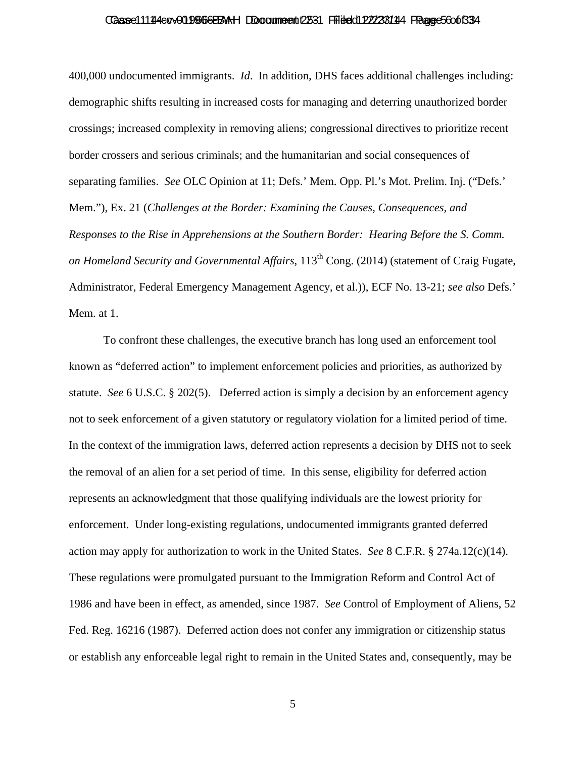#### Caase 111 14 4 cov 01 1966 6 BBAH Doccume ent 2531 Filied di 22/23 114 Fague 5 6 o 6 R34

400,000 undocumented immigrants. *Id*. In addition, DHS faces additional challenges including: demographic shifts resulting in increased costs for managing and deterring unauthorized border crossings; increased complexity in removing aliens; congressional directives to prioritize recent border crossers and serious criminals; and the humanitarian and social consequences of separating families. *See* OLC Opinion at 11; Defs.' Mem. Opp. Pl.'s Mot. Prelim. Inj. ("Defs.' Mem."), Ex. 21 (*Challenges at the Border: Examining the Causes, Consequences, and Responses to the Rise in Apprehensions at the Southern Border: Hearing Before the S. Comm. on Homeland Security and Governmental Affairs*, 113<sup>th</sup> Cong. (2014) (statement of Craig Fugate, Administrator, Federal Emergency Management Agency, et al.)), ECF No. 13-21; *see also* Defs.' Mem. at 1.

To confront these challenges, the executive branch has long used an enforcement tool known as "deferred action" to implement enforcement policies and priorities, as authorized by statute. *See* 6 U.S.C. § 202(5). Deferred action is simply a decision by an enforcement agency not to seek enforcement of a given statutory or regulatory violation for a limited period of time. In the context of the immigration laws, deferred action represents a decision by DHS not to seek the removal of an alien for a set period of time. In this sense, eligibility for deferred action represents an acknowledgment that those qualifying individuals are the lowest priority for enforcement. Under long-existing regulations, undocumented immigrants granted deferred action may apply for authorization to work in the United States. *See* 8 C.F.R. § 274a.12(c)(14). These regulations were promulgated pursuant to the Immigration Reform and Control Act of 1986 and have been in effect, as amended, since 1987. *See* Control of Employment of Aliens, 52 Fed. Reg. 16216 (1987). Deferred action does not confer any immigration or citizenship status or establish any enforceable legal right to remain in the United States and, consequently, may be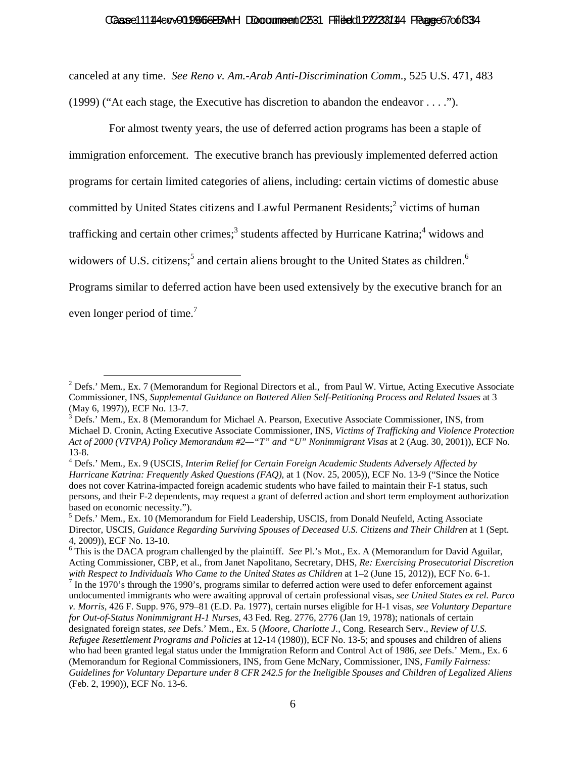#### Caase 11144 cov 019966 BBAH Document 12531 Filited 1222 8144 Ffaane 6 70 of 334

canceled at any time. *See Reno v. Am.-Arab Anti-Discrimination Comm.*, 525 U.S. 471, 483 (1999) ("At each stage, the Executive has discretion to abandon the endeavor . . . .").

 For almost twenty years, the use of deferred action programs has been a staple of immigration enforcement. The executive branch has previously implemented deferred action programs for certain limited categories of aliens, including: certain victims of domestic abuse committed by United States citizens and Lawful Permanent Residents; $^2$  victims of human trafficking and certain other crimes;<sup>3</sup> students affected by Hurricane Katrina;<sup>4</sup> widows and widowers of U.S. citizens;<sup>5</sup> and certain aliens brought to the United States as children.<sup>6</sup> Programs similar to deferred action have been used extensively by the executive branch for an even longer period of time.<sup>7</sup>

<sup>&</sup>lt;sup>2</sup> Defs.' Mem., Ex. 7 (Memorandum for Regional Directors et al., from Paul W. Virtue, Acting Executive Associate Commissioner, INS, *Supplemental Guidance on Battered Alien Self-Petitioning Process and Related Issues* at 3 (May 6, 1997)), ECF No. 13-7.

<sup>&</sup>lt;sup>3</sup> Defs.' Mem., Ex. 8 (Memorandum for Michael A. Pearson, Executive Associate Commissioner, INS, from Michael D. Cronin, Acting Executive Associate Commissioner, INS, *Victims of Trafficking and Violence Protection Act of 2000 (VTVPA) Policy Memorandum #2—"T" and "U" Nonimmigrant Visas* at 2 (Aug. 30, 2001)), ECF No. 13-8.

<sup>4</sup> Defs.' Mem., Ex. 9 (USCIS, *Interim Relief for Certain Foreign Academic Students Adversely Affected by Hurricane Katrina: Frequently Asked Questions (FAQ)*, at 1 (Nov. 25, 2005)), ECF No. 13-9 ("Since the Notice does not cover Katrina-impacted foreign academic students who have failed to maintain their F-1 status, such persons, and their F-2 dependents, may request a grant of deferred action and short term employment authorization based on economic necessity.").

<sup>&</sup>lt;sup>5</sup> Defs.' Mem., Ex. 10 (Memorandum for Field Leadership, USCIS, from Donald Neufeld, Acting Associate Director, USCIS, *Guidance Regarding Surviving Spouses of Deceased U.S. Citizens and Their Children* at 1 (Sept. 4, 2009)), ECF No. 13-10.

<sup>6</sup> This is the DACA program challenged by the plaintiff. *See* Pl.'s Mot., Ex. A (Memorandum for David Aguilar, Acting Commissioner, CBP, et al., from Janet Napolitano, Secretary, DHS, *Re: Exercising Prosecutorial Discretion with Respect to Individuals Who Came to the United States as Children at 1–2 (June 15, 2012)), ECF No. 6-1.* 

 $<sup>7</sup>$  In the 1970's through the 1990's, programs similar to deferred action were used to defer enforcement against</sup> undocumented immigrants who were awaiting approval of certain professional visas, *see United States ex rel. Parco v. Morris*, 426 F. Supp. 976, 979–81 (E.D. Pa. 1977), certain nurses eligible for H-1 visas, *see Voluntary Departure for Out-of-Status Nonimmigrant H-1 Nurses*, 43 Fed. Reg. 2776, 2776 (Jan 19, 1978); nationals of certain designated foreign states, *see* Defs.' Mem., Ex. 5 (*Moore, Charlotte J.*, Cong. Research Serv., *Review of U.S. Refugee Resettlement Programs and Policies* at 12-14 (1980)), ECF No. 13-5; and spouses and children of aliens who had been granted legal status under the Immigration Reform and Control Act of 1986, *see* Defs.' Mem., Ex. 6 (Memorandum for Regional Commissioners, INS, from Gene McNary, Commissioner, INS, *Family Fairness: Guidelines for Voluntary Departure under 8 CFR 242.5 for the Ineligible Spouses and Children of Legalized Aliens* (Feb. 2, 1990)), ECF No. 13-6.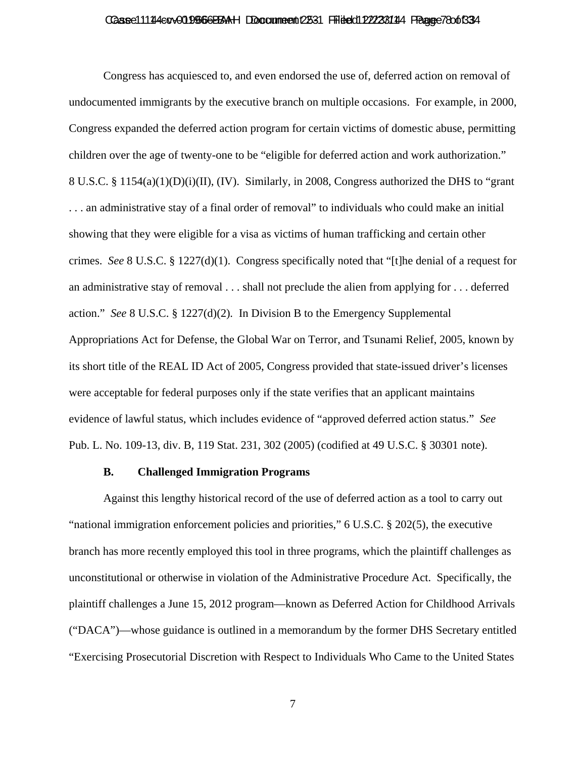#### Caase 111 14 4 cov 01 1966 6 BBAH Doccume ent 2531 Filied dit 22/23 114 France 7 80 of 33 4

Congress has acquiesced to, and even endorsed the use of, deferred action on removal of undocumented immigrants by the executive branch on multiple occasions. For example, in 2000, Congress expanded the deferred action program for certain victims of domestic abuse, permitting children over the age of twenty-one to be "eligible for deferred action and work authorization." 8 U.S.C. § 1154(a)(1)(D)(i)(II), (IV). Similarly, in 2008, Congress authorized the DHS to "grant . . . an administrative stay of a final order of removal" to individuals who could make an initial showing that they were eligible for a visa as victims of human trafficking and certain other crimes. *See* 8 U.S.C. § 1227(d)(1). Congress specifically noted that "[t]he denial of a request for an administrative stay of removal . . . shall not preclude the alien from applying for . . . deferred action." *See* 8 U.S.C. § 1227(d)(2)*.* In Division B to the Emergency Supplemental Appropriations Act for Defense, the Global War on Terror, and Tsunami Relief, 2005, known by its short title of the REAL ID Act of 2005, Congress provided that state-issued driver's licenses were acceptable for federal purposes only if the state verifies that an applicant maintains evidence of lawful status, which includes evidence of "approved deferred action status." *See* Pub. L. No. 109-13, div. B, 119 Stat. 231, 302 (2005) (codified at 49 U.S.C. § 30301 note).

#### **B. Challenged Immigration Programs**

Against this lengthy historical record of the use of deferred action as a tool to carry out "national immigration enforcement policies and priorities," 6 U.S.C. § 202(5), the executive branch has more recently employed this tool in three programs, which the plaintiff challenges as unconstitutional or otherwise in violation of the Administrative Procedure Act. Specifically, the plaintiff challenges a June 15, 2012 program—known as Deferred Action for Childhood Arrivals ("DACA")—whose guidance is outlined in a memorandum by the former DHS Secretary entitled "Exercising Prosecutorial Discretion with Respect to Individuals Who Came to the United States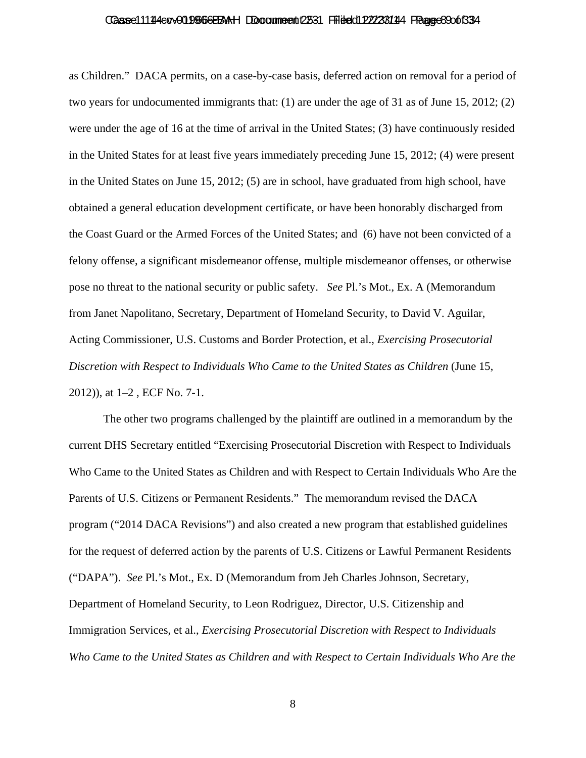#### Caase 111 14 4 cov 01 1966 6 BBAH Doccume ent 2531 Filied dit 22/23 114 Fague 8 90 of 33 4

as Children." DACA permits, on a case-by-case basis, deferred action on removal for a period of two years for undocumented immigrants that: (1) are under the age of 31 as of June 15, 2012; (2) were under the age of 16 at the time of arrival in the United States; (3) have continuously resided in the United States for at least five years immediately preceding June 15, 2012; (4) were present in the United States on June 15, 2012; (5) are in school, have graduated from high school, have obtained a general education development certificate, or have been honorably discharged from the Coast Guard or the Armed Forces of the United States; and (6) have not been convicted of a felony offense, a significant misdemeanor offense, multiple misdemeanor offenses, or otherwise pose no threat to the national security or public safety. *See* Pl.'s Mot., Ex. A (Memorandum from Janet Napolitano, Secretary, Department of Homeland Security, to David V. Aguilar, Acting Commissioner, U.S. Customs and Border Protection, et al., *Exercising Prosecutorial Discretion with Respect to Individuals Who Came to the United States as Children* (June 15, 2012)), at 1–2 , ECF No. 7-1.

The other two programs challenged by the plaintiff are outlined in a memorandum by the current DHS Secretary entitled "Exercising Prosecutorial Discretion with Respect to Individuals Who Came to the United States as Children and with Respect to Certain Individuals Who Are the Parents of U.S. Citizens or Permanent Residents." The memorandum revised the DACA program ("2014 DACA Revisions") and also created a new program that established guidelines for the request of deferred action by the parents of U.S. Citizens or Lawful Permanent Residents ("DAPA"). *See* Pl.'s Mot., Ex. D (Memorandum from Jeh Charles Johnson, Secretary, Department of Homeland Security, to Leon Rodriguez, Director, U.S. Citizenship and Immigration Services, et al., *Exercising Prosecutorial Discretion with Respect to Individuals Who Came to the United States as Children and with Respect to Certain Individuals Who Are the*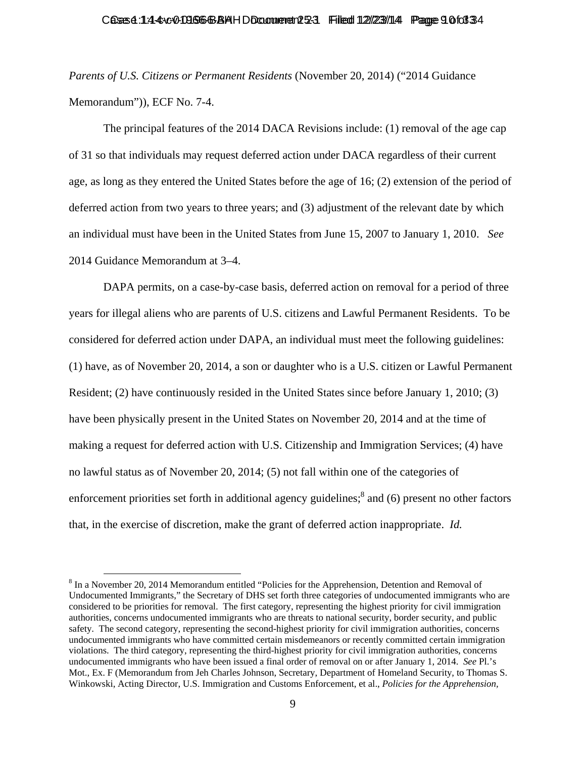*Parents of U.S. Citizens or Permanent Residents* (November 20, 2014) ("2014 Guidance Memorandum")), ECF No. 7-4.

The principal features of the 2014 DACA Revisions include: (1) removal of the age cap of 31 so that individuals may request deferred action under DACA regardless of their current age, as long as they entered the United States before the age of 16; (2) extension of the period of deferred action from two years to three years; and (3) adjustment of the relevant date by which an individual must have been in the United States from June 15, 2007 to January 1, 2010. *See* 2014 Guidance Memorandum at 3–4.

DAPA permits, on a case-by-case basis, deferred action on removal for a period of three years for illegal aliens who are parents of U.S. citizens and Lawful Permanent Residents. To be considered for deferred action under DAPA, an individual must meet the following guidelines: (1) have, as of November 20, 2014, a son or daughter who is a U.S. citizen or Lawful Permanent Resident; (2) have continuously resided in the United States since before January 1, 2010; (3) have been physically present in the United States on November 20, 2014 and at the time of making a request for deferred action with U.S. Citizenship and Immigration Services; (4) have no lawful status as of November 20, 2014; (5) not fall within one of the categories of enforcement priorities set forth in additional agency guidelines; $^8$  and (6) present no other factors that, in the exercise of discretion, make the grant of deferred action inappropriate. *Id.*

<sup>&</sup>lt;sup>8</sup> In a November 20, 2014 Memorandum entitled "Policies for the Apprehension, Detention and Removal of Undocumented Immigrants," the Secretary of DHS set forth three categories of undocumented immigrants who are considered to be priorities for removal. The first category, representing the highest priority for civil immigration authorities, concerns undocumented immigrants who are threats to national security, border security, and public safety. The second category, representing the second-highest priority for civil immigration authorities, concerns undocumented immigrants who have committed certain misdemeanors or recently committed certain immigration violations. The third category, representing the third-highest priority for civil immigration authorities, concerns undocumented immigrants who have been issued a final order of removal on or after January 1, 2014. *See* Pl.'s Mot., Ex. F (Memorandum from Jeh Charles Johnson, Secretary, Department of Homeland Security, to Thomas S. Winkowski, Acting Director, U.S. Immigration and Customs Enforcement, et al., *Policies for the Apprehension,*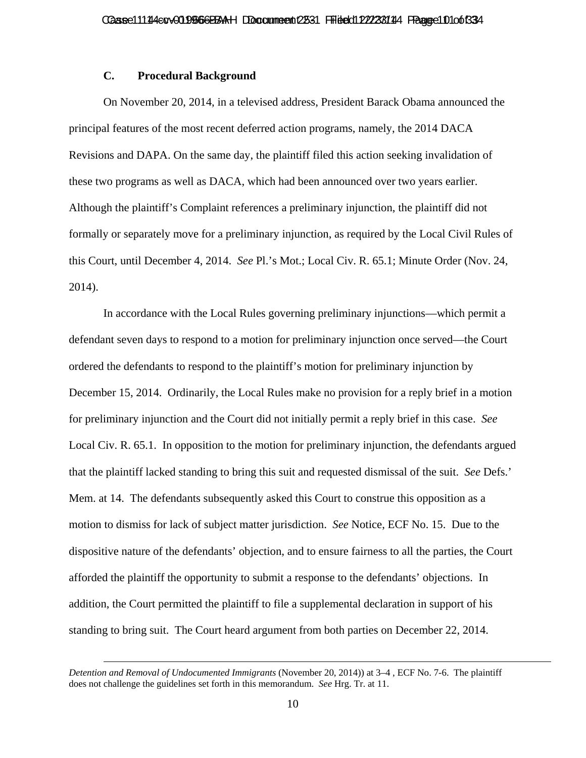# **C. Procedural Background**

On November 20, 2014, in a televised address, President Barack Obama announced the principal features of the most recent deferred action programs, namely, the 2014 DACA Revisions and DAPA. On the same day, the plaintiff filed this action seeking invalidation of these two programs as well as DACA, which had been announced over two years earlier. Although the plaintiff's Complaint references a preliminary injunction, the plaintiff did not formally or separately move for a preliminary injunction, as required by the Local Civil Rules of this Court, until December 4, 2014. *See* Pl.'s Mot.; Local Civ. R. 65.1; Minute Order (Nov. 24, 2014).

In accordance with the Local Rules governing preliminary injunctions—which permit a defendant seven days to respond to a motion for preliminary injunction once served—the Court ordered the defendants to respond to the plaintiff's motion for preliminary injunction by December 15, 2014. Ordinarily, the Local Rules make no provision for a reply brief in a motion for preliminary injunction and the Court did not initially permit a reply brief in this case. *See* Local Civ. R. 65.1. In opposition to the motion for preliminary injunction, the defendants argued that the plaintiff lacked standing to bring this suit and requested dismissal of the suit. *See* Defs.' Mem. at 14. The defendants subsequently asked this Court to construe this opposition as a motion to dismiss for lack of subject matter jurisdiction. *See* Notice, ECF No. 15. Due to the dispositive nature of the defendants' objection, and to ensure fairness to all the parties, the Court afforded the plaintiff the opportunity to submit a response to the defendants' objections. In addition, the Court permitted the plaintiff to file a supplemental declaration in support of his standing to bring suit. The Court heard argument from both parties on December 22, 2014.

 $\overline{a}$ 

*Detention and Removal of Undocumented Immigrants* (November 20, 2014)) at 3–4 , ECF No. 7-6. The plaintiff does not challenge the guidelines set forth in this memorandum. *See* Hrg. Tr. at 11.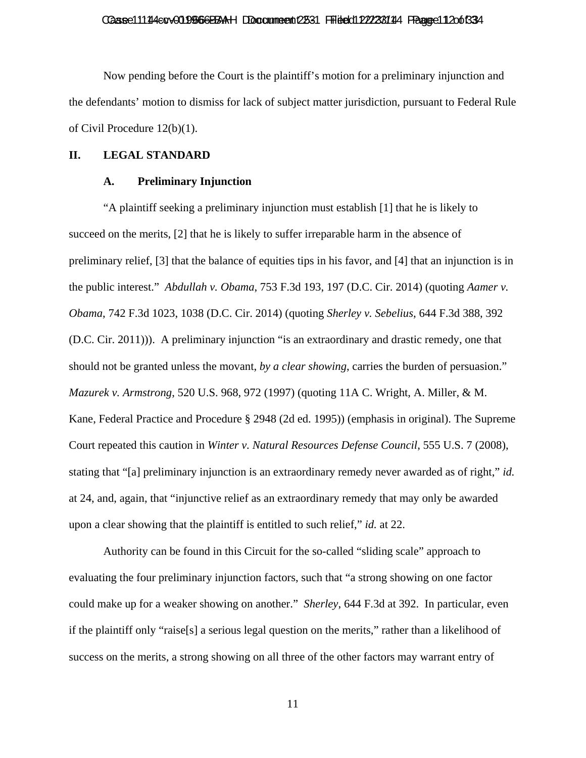#### Caase 111 14 co v 01 956 6 BBAH DDocume ent 2531 Fried dit 22/23/114 France 11 20 of 33 4

Now pending before the Court is the plaintiff's motion for a preliminary injunction and the defendants' motion to dismiss for lack of subject matter jurisdiction, pursuant to Federal Rule of Civil Procedure 12(b)(1).

#### **II. LEGAL STANDARD**

#### **A. Preliminary Injunction**

"A plaintiff seeking a preliminary injunction must establish [1] that he is likely to succeed on the merits, [2] that he is likely to suffer irreparable harm in the absence of preliminary relief, [3] that the balance of equities tips in his favor, and [4] that an injunction is in the public interest." *Abdullah v. Obama*, 753 F.3d 193, 197 (D.C. Cir. 2014) (quoting *Aamer v. Obama*, 742 F.3d 1023, 1038 (D.C. Cir. 2014) (quoting *Sherley v. Sebelius*, 644 F.3d 388, 392 (D.C. Cir. 2011))). A preliminary injunction "is an extraordinary and drastic remedy, one that should not be granted unless the movant, *by a clear showing*, carries the burden of persuasion." *Mazurek v. Armstrong*, 520 U.S. 968, 972 (1997) (quoting 11A C. Wright, A. Miller, & M. Kane, Federal Practice and Procedure § 2948 (2d ed. 1995)) (emphasis in original). The Supreme Court repeated this caution in *Winter v. Natural Resources Defense Council*, 555 U.S. 7 (2008), stating that "[a] preliminary injunction is an extraordinary remedy never awarded as of right," *id.* at 24, and, again, that "injunctive relief as an extraordinary remedy that may only be awarded upon a clear showing that the plaintiff is entitled to such relief," *id.* at 22.

Authority can be found in this Circuit for the so-called "sliding scale" approach to evaluating the four preliminary injunction factors, such that "a strong showing on one factor could make up for a weaker showing on another." *Sherley*, 644 F.3d at 392.In particular, even if the plaintiff only "raise[s] a serious legal question on the merits," rather than a likelihood of success on the merits, a strong showing on all three of the other factors may warrant entry of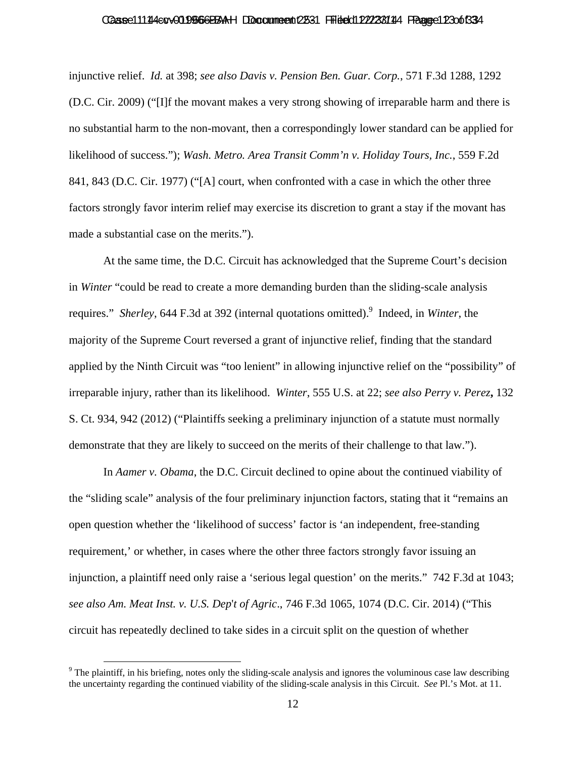#### Caase 111 14 4 cov 01 0 966 BBAA H DDocume ent 2531 Fried dit 22/23 81 14 France 123 of 33 4

injunctive relief. *Id.* at 398; *see also Davis v. Pension Ben. Guar. Corp.*, 571 F.3d 1288, 1292 (D.C. Cir. 2009) ("[I]f the movant makes a very strong showing of irreparable harm and there is no substantial harm to the non-movant, then a correspondingly lower standard can be applied for likelihood of success."); *Wash. Metro. Area Transit Comm'n v. Holiday Tours, Inc.*, 559 F.2d 841, 843 (D.C. Cir. 1977) ("[A] court, when confronted with a case in which the other three factors strongly favor interim relief may exercise its discretion to grant a stay if the movant has made a substantial case on the merits.").

At the same time, the D.C. Circuit has acknowledged that the Supreme Court's decision in *Winter* "could be read to create a more demanding burden than the sliding-scale analysis requires." Sherley, 644 F.3d at 392 (internal quotations omitted). <sup>9</sup> Indeed, in *Winter*, the majority of the Supreme Court reversed a grant of injunctive relief, finding that the standard applied by the Ninth Circuit was "too lenient" in allowing injunctive relief on the "possibility" of irreparable injury, rather than its likelihood. *Winter*, 555 U.S. at 22; *see also Perry v. Perez***,** 132 S. Ct. 934, 942 (2012) ("Plaintiffs seeking a preliminary injunction of a statute must normally demonstrate that they are likely to succeed on the merits of their challenge to that law.").

In *Aamer v. Obama*, the D.C. Circuit declined to opine about the continued viability of the "sliding scale" analysis of the four preliminary injunction factors, stating that it "remains an open question whether the 'likelihood of success' factor is 'an independent, free-standing requirement,' or whether, in cases where the other three factors strongly favor issuing an injunction, a plaintiff need only raise a 'serious legal question' on the merits." 742 F.3d at 1043; *see also Am. Meat Inst. v. U.S. Dep*'*t of Agric*., 746 F.3d 1065, 1074 (D.C. Cir. 2014) ("This circuit has repeatedly declined to take sides in a circuit split on the question of whether

<sup>&</sup>lt;sup>9</sup> The plaintiff, in his briefing, notes only the sliding-scale analysis and ignores the voluminous case law describing the uncertainty regarding the continued viability of the sliding-scale analysis in this Circuit. *See* Pl.'s Mot. at 11.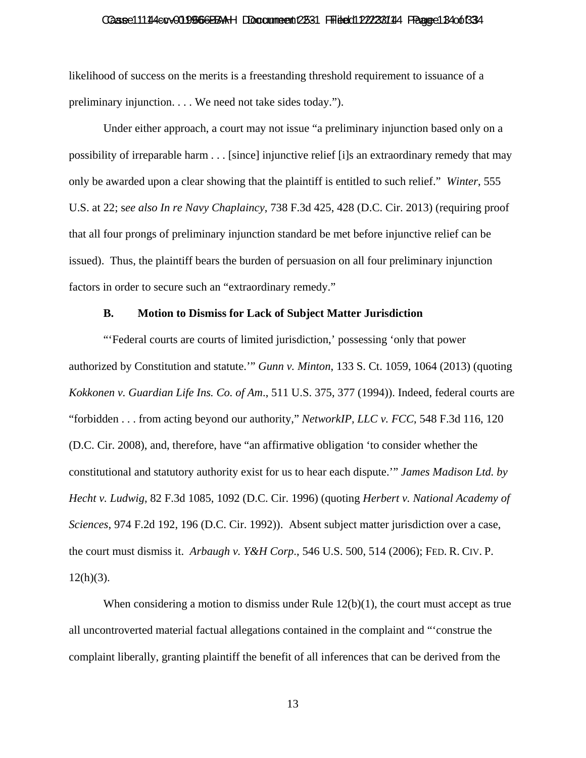#### Caase 111 14 co v 01 956 6 BBAH DDocume ent 2531 Fried dit 22/23/114 France 13 4 of 33 4

likelihood of success on the merits is a freestanding threshold requirement to issuance of a preliminary injunction. . . . We need not take sides today.").

Under either approach, a court may not issue "a preliminary injunction based only on a possibility of irreparable harm . . . [since] injunctive relief [i]s an extraordinary remedy that may only be awarded upon a clear showing that the plaintiff is entitled to such relief." *Winter*, 555 U.S. at 22; s*ee also In re Navy Chaplaincy*, 738 F.3d 425, 428 (D.C. Cir. 2013) (requiring proof that all four prongs of preliminary injunction standard be met before injunctive relief can be issued). Thus, the plaintiff bears the burden of persuasion on all four preliminary injunction factors in order to secure such an "extraordinary remedy."

# **B. Motion to Dismiss for Lack of Subject Matter Jurisdiction**

"'Federal courts are courts of limited jurisdiction,' possessing 'only that power authorized by Constitution and statute.'" *Gunn v. Minton*, 133 S. Ct. 1059, 1064 (2013) (quoting *Kokkonen v. Guardian Life Ins. Co. of Am*., 511 U.S. 375, 377 (1994)). Indeed, federal courts are "forbidden . . . from acting beyond our authority," *NetworkIP, LLC v. FCC*, 548 F.3d 116, 120 (D.C. Cir. 2008), and, therefore, have "an affirmative obligation 'to consider whether the constitutional and statutory authority exist for us to hear each dispute.'" *James Madison Ltd. by Hecht v. Ludwig*, 82 F.3d 1085, 1092 (D.C. Cir. 1996) (quoting *Herbert v. National Academy of Sciences*, 974 F.2d 192, 196 (D.C. Cir. 1992)). Absent subject matter jurisdiction over a case, the court must dismiss it. *Arbaugh v. Y&H Corp*., 546 U.S. 500, 514 (2006); FED. R. CIV. P.  $12(h)(3)$ .

When considering a motion to dismiss under Rule  $12(b)(1)$ , the court must accept as true all uncontroverted material factual allegations contained in the complaint and "'construe the complaint liberally, granting plaintiff the benefit of all inferences that can be derived from the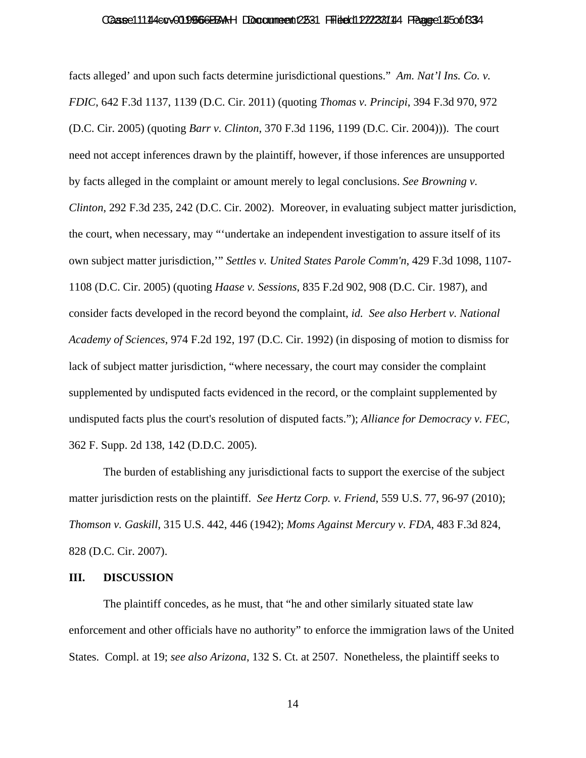#### Caase 111 14 co v 01 956 6 BBAH DDocume ent 2531 Fried dit 22/23/114 France 115 of 33 4

facts alleged' and upon such facts determine jurisdictional questions." *Am. Nat'l Ins. Co. v. FDIC*, 642 F.3d 1137, 1139 (D.C. Cir. 2011) (quoting *Thomas v. Principi*, 394 F.3d 970, 972 (D.C. Cir. 2005) (quoting *Barr v. Clinton*, 370 F.3d 1196, 1199 (D.C. Cir. 2004))). The court need not accept inferences drawn by the plaintiff, however, if those inferences are unsupported by facts alleged in the complaint or amount merely to legal conclusions. *See Browning v. Clinton*, 292 F.3d 235, 242 (D.C. Cir. 2002). Moreover, in evaluating subject matter jurisdiction, the court, when necessary, may "'undertake an independent investigation to assure itself of its own subject matter jurisdiction,'" *Settles v. United States Parole Comm'n*, 429 F.3d 1098, 1107- 1108 (D.C. Cir. 2005) (quoting *Haase v. Sessions*, 835 F.2d 902, 908 (D.C. Cir. 1987), and consider facts developed in the record beyond the complaint, *id. See also Herbert v. National Academy of Sciences*, 974 F.2d 192, 197 (D.C. Cir. 1992) (in disposing of motion to dismiss for lack of subject matter jurisdiction, "where necessary, the court may consider the complaint supplemented by undisputed facts evidenced in the record, or the complaint supplemented by undisputed facts plus the court's resolution of disputed facts."); *Alliance for Democracy v. FEC*, 362 F. Supp. 2d 138, 142 (D.D.C. 2005).

The burden of establishing any jurisdictional facts to support the exercise of the subject matter jurisdiction rests on the plaintiff. *See Hertz Corp. v. Friend*, 559 U.S. 77, 96-97 (2010); *Thomson v. Gaskill*, 315 U.S. 442, 446 (1942); *Moms Against Mercury v. FDA*, 483 F.3d 824, 828 (D.C. Cir. 2007).

### **III. DISCUSSION**

The plaintiff concedes, as he must, that "he and other similarly situated state law enforcement and other officials have no authority" to enforce the immigration laws of the United States. Compl. at 19; *see also Arizona*, 132 S. Ct. at 2507. Nonetheless, the plaintiff seeks to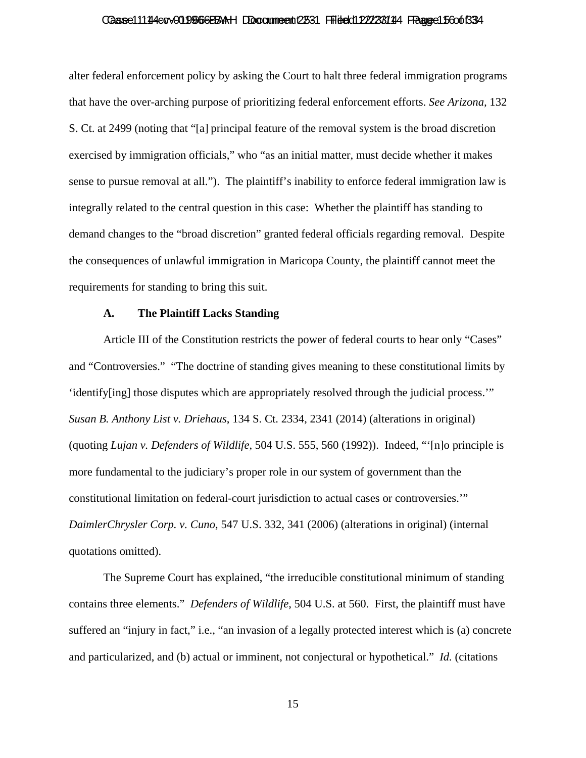#### Caase 111 14 co v 01 956 6 BBAH DDocume ent 2531 Fried dit 22/23/114 France 15 60 of 33 4

alter federal enforcement policy by asking the Court to halt three federal immigration programs that have the over-arching purpose of prioritizing federal enforcement efforts. *See Arizona,* 132 S. Ct. at 2499 (noting that "[a] principal feature of the removal system is the broad discretion exercised by immigration officials," who "as an initial matter, must decide whether it makes sense to pursue removal at all."). The plaintiff's inability to enforce federal immigration law is integrally related to the central question in this case: Whether the plaintiff has standing to demand changes to the "broad discretion" granted federal officials regarding removal. Despite the consequences of unlawful immigration in Maricopa County, the plaintiff cannot meet the requirements for standing to bring this suit.

### **A. The Plaintiff Lacks Standing**

Article III of the Constitution restricts the power of federal courts to hear only "Cases" and "Controversies." "The doctrine of standing gives meaning to these constitutional limits by 'identify[ing] those disputes which are appropriately resolved through the judicial process.'" *Susan B. Anthony List v. Driehaus*, 134 S. Ct. 2334, 2341 (2014) (alterations in original) (quoting *Lujan v. Defenders of Wildlife*, 504 U.S. 555, 560 (1992)). Indeed, "'[n]o principle is more fundamental to the judiciary's proper role in our system of government than the constitutional limitation on federal-court jurisdiction to actual cases or controversies.'" *DaimlerChrysler Corp. v. Cuno*, 547 U.S. 332, 341 (2006) (alterations in original) (internal quotations omitted).

The Supreme Court has explained, "the irreducible constitutional minimum of standing contains three elements." *Defenders of Wildlife*, 504 U.S. at 560. First, the plaintiff must have suffered an "injury in fact," i.e., "an invasion of a legally protected interest which is (a) concrete and particularized, and (b) actual or imminent, not conjectural or hypothetical." *Id.* (citations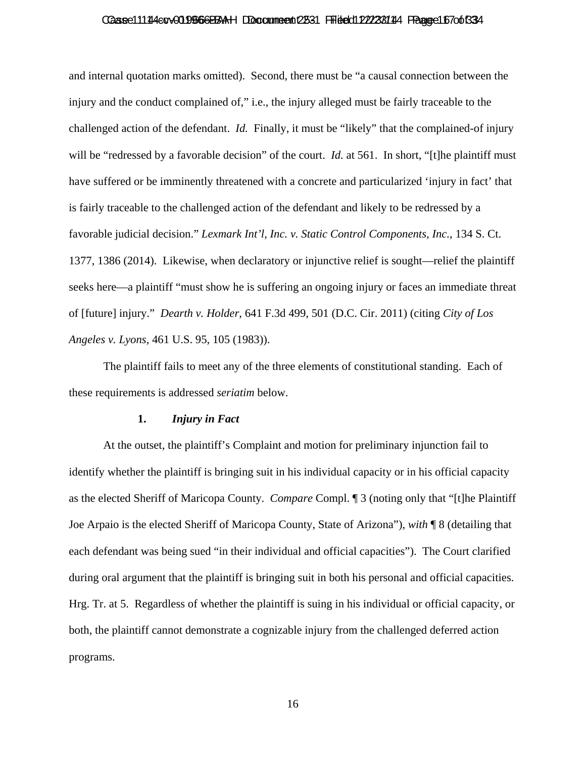#### Caase 111 14 cov 01 0 966 BBAH DDocume ent 2531 Fried dit 22/23/114 France 1670 of 334

and internal quotation marks omitted). Second, there must be "a causal connection between the injury and the conduct complained of," i.e., the injury alleged must be fairly traceable to the challenged action of the defendant. *Id.* Finally, it must be "likely" that the complained-of injury will be "redressed by a favorable decision" of the court. *Id.* at 561. In short, "[t]he plaintiff must have suffered or be imminently threatened with a concrete and particularized 'injury in fact' that is fairly traceable to the challenged action of the defendant and likely to be redressed by a favorable judicial decision." *Lexmark Int'l, Inc. v. Static Control Components, Inc.*, 134 S. Ct. 1377, 1386 (2014). Likewise, when declaratory or injunctive relief is sought—relief the plaintiff seeks here—a plaintiff "must show he is suffering an ongoing injury or faces an immediate threat of [future] injury." *Dearth v. Holder*, 641 F.3d 499, 501 (D.C. Cir. 2011) (citing *City of Los Angeles v. Lyons*, 461 U.S. 95, 105 (1983)).

The plaintiff fails to meet any of the three elements of constitutional standing. Each of these requirements is addressed *seriatim* below.

#### **1.** *Injury in Fact*

At the outset, the plaintiff's Complaint and motion for preliminary injunction fail to identify whether the plaintiff is bringing suit in his individual capacity or in his official capacity as the elected Sheriff of Maricopa County. *Compare* Compl. ¶ 3 (noting only that "[t]he Plaintiff Joe Arpaio is the elected Sheriff of Maricopa County, State of Arizona"), *with* ¶ 8 (detailing that each defendant was being sued "in their individual and official capacities"). The Court clarified during oral argument that the plaintiff is bringing suit in both his personal and official capacities. Hrg. Tr. at 5. Regardless of whether the plaintiff is suing in his individual or official capacity, or both, the plaintiff cannot demonstrate a cognizable injury from the challenged deferred action programs.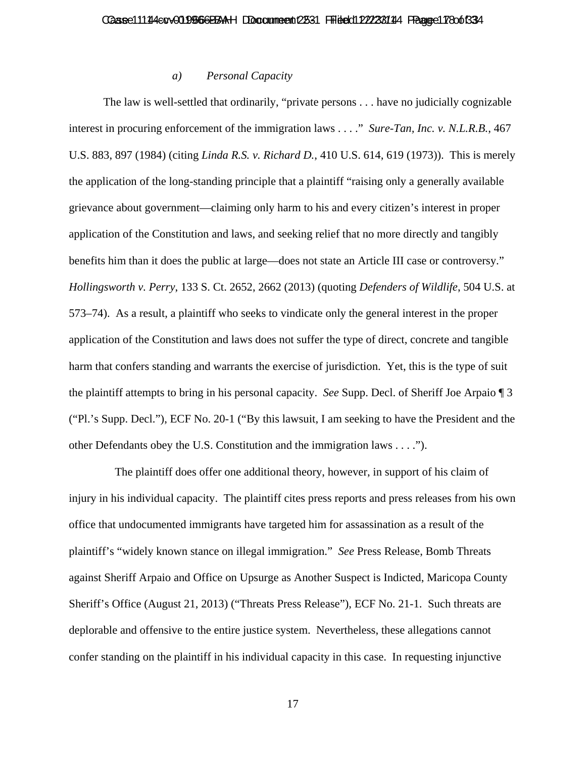## *a) Personal Capacity*

The law is well-settled that ordinarily, "private persons . . . have no judicially cognizable interest in procuring enforcement of the immigration laws . . . ." *Sure-Tan, Inc. v. N.L.R.B.*, 467 U.S. 883, 897 (1984) (citing *Linda R.S. v. Richard D.*, 410 U.S. 614, 619 (1973)). This is merely the application of the long-standing principle that a plaintiff "raising only a generally available grievance about government—claiming only harm to his and every citizen's interest in proper application of the Constitution and laws, and seeking relief that no more directly and tangibly benefits him than it does the public at large—does not state an Article III case or controversy." *Hollingsworth v. Perry*, 133 S. Ct. 2652, 2662 (2013) (quoting *Defenders of Wildlife*, 504 U.S. at 573–74). As a result, a plaintiff who seeks to vindicate only the general interest in the proper application of the Constitution and laws does not suffer the type of direct, concrete and tangible harm that confers standing and warrants the exercise of jurisdiction. Yet, this is the type of suit the plaintiff attempts to bring in his personal capacity. *See* Supp. Decl. of Sheriff Joe Arpaio ¶ 3 ("Pl.'s Supp. Decl."), ECF No. 20-1 ("By this lawsuit, I am seeking to have the President and the other Defendants obey the U.S. Constitution and the immigration laws . . . .").

 The plaintiff does offer one additional theory, however, in support of his claim of injury in his individual capacity. The plaintiff cites press reports and press releases from his own office that undocumented immigrants have targeted him for assassination as a result of the plaintiff's "widely known stance on illegal immigration." *See* Press Release, Bomb Threats against Sheriff Arpaio and Office on Upsurge as Another Suspect is Indicted, Maricopa County Sheriff's Office (August 21, 2013) ("Threats Press Release"), ECF No. 21-1. Such threats are deplorable and offensive to the entire justice system. Nevertheless, these allegations cannot confer standing on the plaintiff in his individual capacity in this case. In requesting injunctive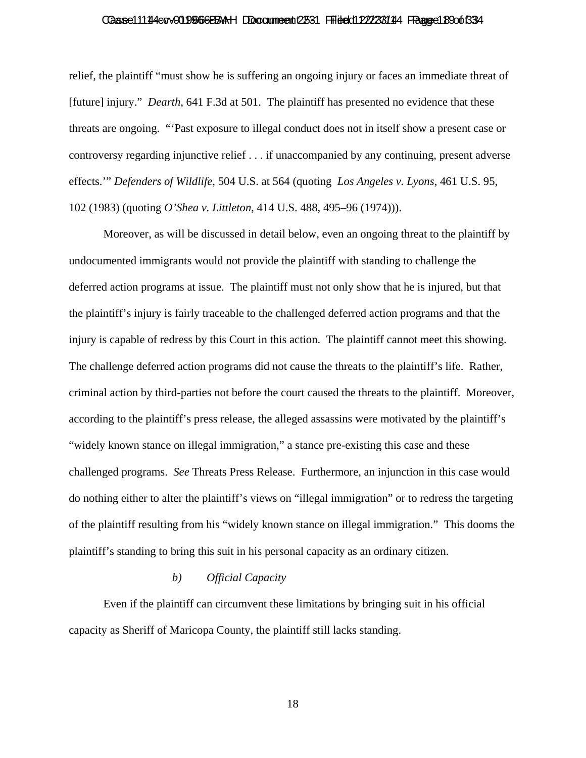#### Caase 111 14 co v 01 956 6 BBAH Document 12531 Fried di 12/23 81 114 France 18 Oot 33 4

relief, the plaintiff "must show he is suffering an ongoing injury or faces an immediate threat of [future] injury." *Dearth*, 641 F.3d at 501. The plaintiff has presented no evidence that these threats are ongoing. "'Past exposure to illegal conduct does not in itself show a present case or controversy regarding injunctive relief . . . if unaccompanied by any continuing, present adverse effects.'" *Defenders of Wildlife*, 504 U.S. at 564 (quoting *Los Angeles v. Lyons*, 461 U.S. 95, 102 (1983) (quoting *O'Shea v. Littleton*, 414 U.S. 488, 495–96 (1974))).

Moreover, as will be discussed in detail below, even an ongoing threat to the plaintiff by undocumented immigrants would not provide the plaintiff with standing to challenge the deferred action programs at issue. The plaintiff must not only show that he is injured, but that the plaintiff's injury is fairly traceable to the challenged deferred action programs and that the injury is capable of redress by this Court in this action. The plaintiff cannot meet this showing. The challenge deferred action programs did not cause the threats to the plaintiff's life. Rather, criminal action by third-parties not before the court caused the threats to the plaintiff. Moreover, according to the plaintiff's press release, the alleged assassins were motivated by the plaintiff's "widely known stance on illegal immigration," a stance pre-existing this case and these challenged programs. *See* Threats Press Release. Furthermore, an injunction in this case would do nothing either to alter the plaintiff's views on "illegal immigration" or to redress the targeting of the plaintiff resulting from his "widely known stance on illegal immigration." This dooms the plaintiff's standing to bring this suit in his personal capacity as an ordinary citizen.

# *b) Official Capacity*

Even if the plaintiff can circumvent these limitations by bringing suit in his official capacity as Sheriff of Maricopa County, the plaintiff still lacks standing.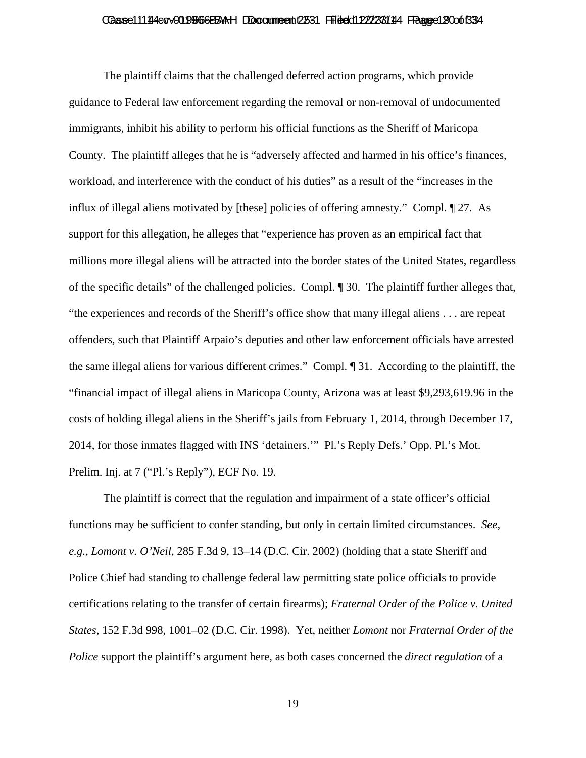# Casse11114ecv019666BAH DDccumeent 2531 Filed 012223114 Fagge 12006334

The plaintiff claims that the challenged deferred action programs, which provide guidance to Federal law enforcement regarding the removal or non-removal of undocumented immigrants, inhibit his ability to perform his official functions as the Sheriff of Maricopa County. The plaintiff alleges that he is "adversely affected and harmed in his office's finances, workload, and interference with the conduct of his duties" as a result of the "increases in the influx of illegal aliens motivated by [these] policies of offering amnesty." Compl. ¶ 27. As support for this allegation, he alleges that "experience has proven as an empirical fact that millions more illegal aliens will be attracted into the border states of the United States, regardless of the specific details" of the challenged policies. Compl. ¶ 30. The plaintiff further alleges that, "the experiences and records of the Sheriff's office show that many illegal aliens . . . are repeat offenders, such that Plaintiff Arpaio's deputies and other law enforcement officials have arrested the same illegal aliens for various different crimes." Compl. ¶ 31. According to the plaintiff, the "financial impact of illegal aliens in Maricopa County, Arizona was at least \$9,293,619.96 in the costs of holding illegal aliens in the Sheriff's jails from February 1, 2014, through December 17, 2014, for those inmates flagged with INS 'detainers.'" Pl.'s Reply Defs.' Opp. Pl.'s Mot. Prelim. Inj. at 7 ("Pl.'s Reply"), ECF No. 19.

The plaintiff is correct that the regulation and impairment of a state officer's official functions may be sufficient to confer standing, but only in certain limited circumstances. *See, e.g.*, *Lomont v. O'Neil*, 285 F.3d 9, 13–14 (D.C. Cir. 2002) (holding that a state Sheriff and Police Chief had standing to challenge federal law permitting state police officials to provide certifications relating to the transfer of certain firearms); *Fraternal Order of the Police v. United States*, 152 F.3d 998, 1001–02 (D.C. Cir. 1998). Yet, neither *Lomont* nor *Fraternal Order of the Police* support the plaintiff's argument here, as both cases concerned the *direct regulation* of a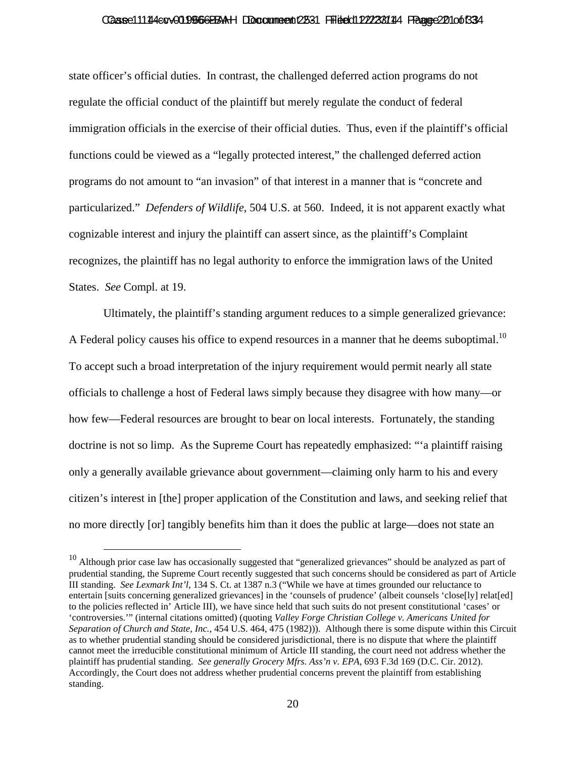#### Caase 111 14 cov 01 0 966 BBAH DDocume ent 2531 Fried dit 22/23/114 France 20 10 0 1334

state officer's official duties. In contrast, the challenged deferred action programs do not regulate the official conduct of the plaintiff but merely regulate the conduct of federal immigration officials in the exercise of their official duties. Thus, even if the plaintiff's official functions could be viewed as a "legally protected interest," the challenged deferred action programs do not amount to "an invasion" of that interest in a manner that is "concrete and particularized." *Defenders of Wildlife*, 504 U.S. at 560. Indeed, it is not apparent exactly what cognizable interest and injury the plaintiff can assert since, as the plaintiff's Complaint recognizes, the plaintiff has no legal authority to enforce the immigration laws of the United States. *See* Compl. at 19.

Ultimately, the plaintiff's standing argument reduces to a simple generalized grievance: A Federal policy causes his office to expend resources in a manner that he deems suboptimal.<sup>10</sup> To accept such a broad interpretation of the injury requirement would permit nearly all state officials to challenge a host of Federal laws simply because they disagree with how many—or how few—Federal resources are brought to bear on local interests. Fortunately, the standing doctrine is not so limp. As the Supreme Court has repeatedly emphasized: "'a plaintiff raising only a generally available grievance about government—claiming only harm to his and every citizen's interest in [the] proper application of the Constitution and laws, and seeking relief that no more directly [or] tangibly benefits him than it does the public at large—does not state an

<sup>&</sup>lt;sup>10</sup> Although prior case law has occasionally suggested that "generalized grievances" should be analyzed as part of prudential standing, the Supreme Court recently suggested that such concerns should be considered as part of Article III standing. *See Lexmark Int'l*, 134 S. Ct. at 1387 n.3 ("While we have at times grounded our reluctance to entertain [suits concerning generalized grievances] in the 'counsels of prudence' (albeit counsels 'close[ly] relat[ed] to the policies reflected in' Article III), we have since held that such suits do not present constitutional 'cases' or 'controversies.'" (internal citations omitted) (quoting *Valley Forge Christian College v. Americans United for Separation of Church and State, Inc.*, 454 U.S. 464, 475 (1982))). Although there is some dispute within this Circuit as to whether prudential standing should be considered jurisdictional, there is no dispute that where the plaintiff cannot meet the irreducible constitutional minimum of Article III standing, the court need not address whether the plaintiff has prudential standing. *See generally Grocery Mfrs. Ass'n v. EPA*, 693 F.3d 169 (D.C. Cir. 2012). Accordingly, the Court does not address whether prudential concerns prevent the plaintiff from establishing standing.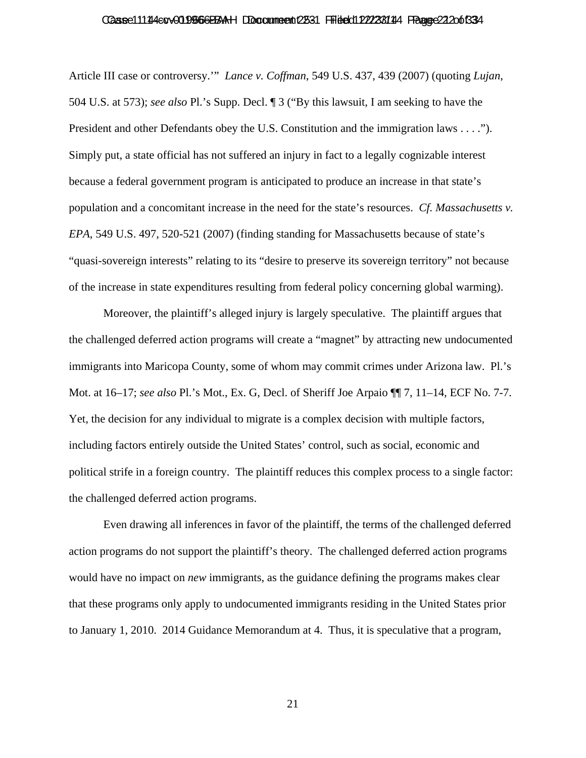#### Caase 111 14 4 cov 01 0 966 BBA H DDocume ent 2531 Fried dit 22/23 81 114 France 22 20 of 33 4

Article III case or controversy.'" *Lance v. Coffman*, 549 U.S. 437, 439 (2007) (quoting *Lujan*, 504 U.S. at 573); *see also* Pl.'s Supp. Decl. ¶ 3 ("By this lawsuit, I am seeking to have the President and other Defendants obey the U.S. Constitution and the immigration laws . . . ."). Simply put, a state official has not suffered an injury in fact to a legally cognizable interest because a federal government program is anticipated to produce an increase in that state's population and a concomitant increase in the need for the state's resources. *Cf. Massachusetts v. EPA*, 549 U.S. 497, 520-521 (2007) (finding standing for Massachusetts because of state's "quasi-sovereign interests" relating to its "desire to preserve its sovereign territory" not because of the increase in state expenditures resulting from federal policy concerning global warming).

Moreover, the plaintiff's alleged injury is largely speculative. The plaintiff argues that the challenged deferred action programs will create a "magnet" by attracting new undocumented immigrants into Maricopa County, some of whom may commit crimes under Arizona law. Pl.'s Mot. at 16–17; *see also* Pl.'s Mot., Ex. G, Decl. of Sheriff Joe Arpaio ¶¶ 7, 11–14, ECF No. 7-7. Yet, the decision for any individual to migrate is a complex decision with multiple factors, including factors entirely outside the United States' control, such as social, economic and political strife in a foreign country. The plaintiff reduces this complex process to a single factor: the challenged deferred action programs.

Even drawing all inferences in favor of the plaintiff, the terms of the challenged deferred action programs do not support the plaintiff's theory. The challenged deferred action programs would have no impact on *new* immigrants, as the guidance defining the programs makes clear that these programs only apply to undocumented immigrants residing in the United States prior to January 1, 2010. 2014 Guidance Memorandum at 4. Thus, it is speculative that a program,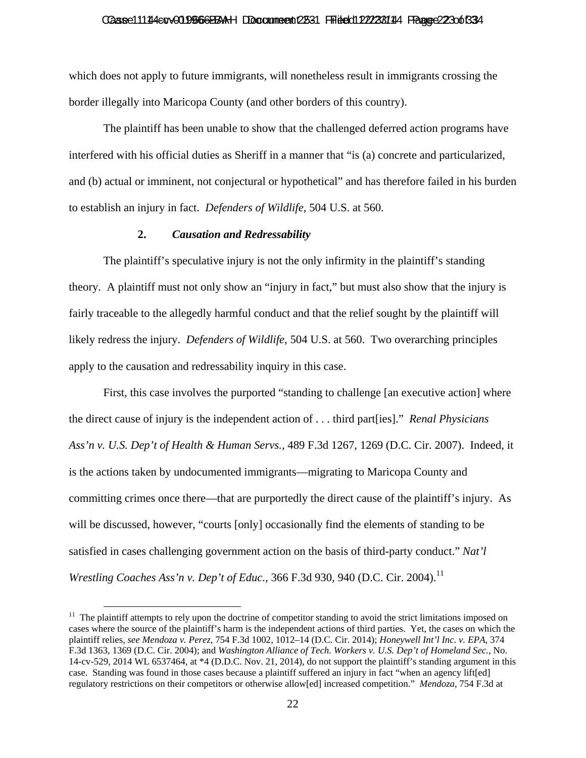#### Caase 11144 cv 019666 BAAH DDocume ent 2531 Fried dit 22/23 8144 France 22 30 t 33 4

which does not apply to future immigrants, will nonetheless result in immigrants crossing the border illegally into Maricopa County (and other borders of this country).

The plaintiff has been unable to show that the challenged deferred action programs have interfered with his official duties as Sheriff in a manner that "is (a) concrete and particularized, and (b) actual or imminent, not conjectural or hypothetical" and has therefore failed in his burden to establish an injury in fact. *Defenders of Wildlife*, 504 U.S. at 560.

#### **2.** *Causation and Redressability*

The plaintiff's speculative injury is not the only infirmity in the plaintiff's standing theory. A plaintiff must not only show an "injury in fact," but must also show that the injury is fairly traceable to the allegedly harmful conduct and that the relief sought by the plaintiff will likely redress the injury. *Defenders of Wildlife*, 504 U.S. at 560. Two overarching principles apply to the causation and redressability inquiry in this case.

First, this case involves the purported "standing to challenge [an executive action] where the direct cause of injury is the independent action of . . . third part[ies]." *Renal Physicians Ass'n v. U.S. Dep't of Health & Human Servs.*, 489 F.3d 1267, 1269 (D.C. Cir. 2007). Indeed, it is the actions taken by undocumented immigrants—migrating to Maricopa County and committing crimes once there—that are purportedly the direct cause of the plaintiff's injury. As will be discussed, however, "courts [only] occasionally find the elements of standing to be satisfied in cases challenging government action on the basis of third-party conduct." *Nat'l Wrestling Coaches Ass'n v. Dep't of Educ.*, 366 F.3d 930, 940 (D.C. Cir. 2004).<sup>11</sup>

<sup>&</sup>lt;sup>11</sup> The plaintiff attempts to rely upon the doctrine of competitor standing to avoid the strict limitations imposed on cases where the source of the plaintiff's harm is the independent actions of third parties. Yet, the cases on which the plaintiff relies, *see Mendoza v. Perez*, 754 F.3d 1002, 1012–14 (D.C. Cir. 2014); *Honeywell Int'l Inc. v. EPA*, 374 F.3d 1363, 1369 (D.C. Cir. 2004); and *Washington Alliance of Tech. Workers v. U.S. Dep't of Homeland Sec.*, No. 14-cv-529, 2014 WL 6537464, at \*4 (D.D.C. Nov. 21, 2014), do not support the plaintiff's standing argument in this case. Standing was found in those cases because a plaintiff suffered an injury in fact "when an agency lift[ed] regulatory restrictions on their competitors or otherwise allow[ed] increased competition." *Mendoza*, 754 F.3d at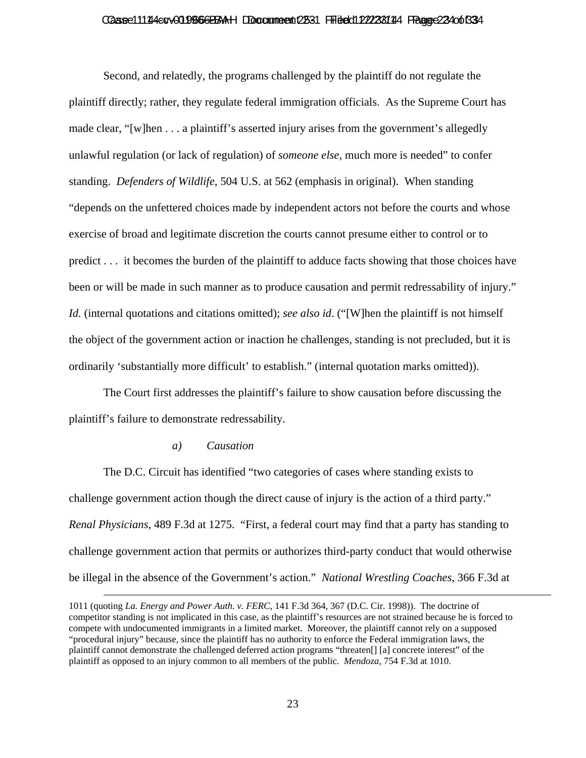#### Caase 111 14 ev 01966 BBAH DDocument 2531 Filed 1222381114 Fagge 23 4 of 33 4

Second, and relatedly, the programs challenged by the plaintiff do not regulate the plaintiff directly; rather, they regulate federal immigration officials. As the Supreme Court has made clear, "[w]hen . . . a plaintiff's asserted injury arises from the government's allegedly unlawful regulation (or lack of regulation) of *someone else*, much more is needed" to confer standing. *Defenders of Wildlife*, 504 U.S. at 562 (emphasis in original). When standing "depends on the unfettered choices made by independent actors not before the courts and whose exercise of broad and legitimate discretion the courts cannot presume either to control or to predict . . . it becomes the burden of the plaintiff to adduce facts showing that those choices have been or will be made in such manner as to produce causation and permit redressability of injury." *Id.* (internal quotations and citations omitted); *see also id.* ("[W]hen the plaintiff is not himself the object of the government action or inaction he challenges, standing is not precluded, but it is ordinarily 'substantially more difficult' to establish." (internal quotation marks omitted)).

The Court first addresses the plaintiff's failure to show causation before discussing the plaintiff's failure to demonstrate redressability.

#### *a) Causation*

The D.C. Circuit has identified "two categories of cases where standing exists to challenge government action though the direct cause of injury is the action of a third party." *Renal Physicians*, 489 F.3d at 1275. "First, a federal court may find that a party has standing to challenge government action that permits or authorizes third-party conduct that would otherwise be illegal in the absence of the Government's action." *National Wrestling Coaches*, 366 F.3d at

 <sup>1011 (</sup>quoting *La. Energy and Power Auth. v. FERC*, 141 F.3d 364, 367 (D.C. Cir. 1998)). The doctrine of competitor standing is not implicated in this case, as the plaintiff's resources are not strained because he is forced to compete with undocumented immigrants in a limited market. Moreover, the plaintiff cannot rely on a supposed "procedural injury" because, since the plaintiff has no authority to enforce the Federal immigration laws, the plaintiff cannot demonstrate the challenged deferred action programs "threaten[] [a] concrete interest" of the plaintiff as opposed to an injury common to all members of the public. *Mendoza*, 754 F.3d at 1010.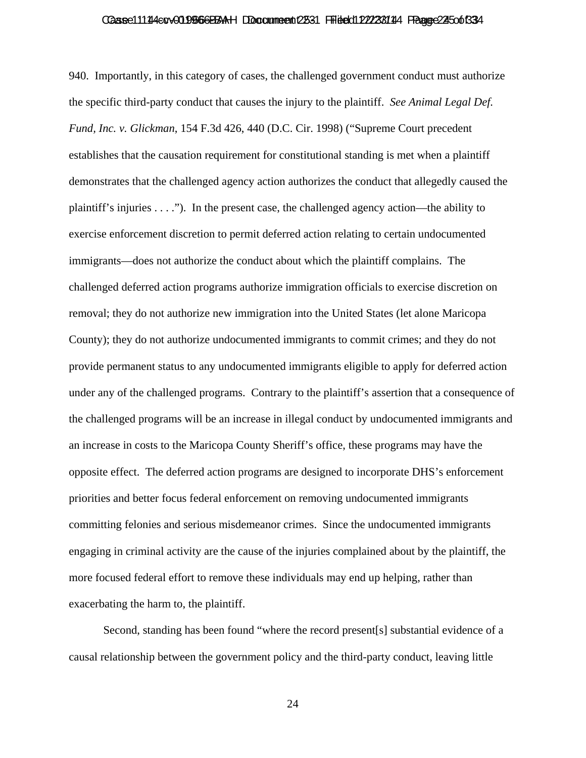#### Caase 111 14 4 cov 01 0 966 BBA H DDocume ent 2531 Fried dit 22/23 81 114 France 24 50 of 33 4

940. Importantly, in this category of cases, the challenged government conduct must authorize the specific third-party conduct that causes the injury to the plaintiff. *See Animal Legal Def. Fund, Inc. v. Glickman*, 154 F.3d 426, 440 (D.C. Cir. 1998) ("Supreme Court precedent establishes that the causation requirement for constitutional standing is met when a plaintiff demonstrates that the challenged agency action authorizes the conduct that allegedly caused the plaintiff's injuries  $\dots$ "). In the present case, the challenged agency action—the ability to exercise enforcement discretion to permit deferred action relating to certain undocumented immigrants—does not authorize the conduct about which the plaintiff complains. The challenged deferred action programs authorize immigration officials to exercise discretion on removal; they do not authorize new immigration into the United States (let alone Maricopa County); they do not authorize undocumented immigrants to commit crimes; and they do not provide permanent status to any undocumented immigrants eligible to apply for deferred action under any of the challenged programs. Contrary to the plaintiff's assertion that a consequence of the challenged programs will be an increase in illegal conduct by undocumented immigrants and an increase in costs to the Maricopa County Sheriff's office, these programs may have the opposite effect. The deferred action programs are designed to incorporate DHS's enforcement priorities and better focus federal enforcement on removing undocumented immigrants committing felonies and serious misdemeanor crimes. Since the undocumented immigrants engaging in criminal activity are the cause of the injuries complained about by the plaintiff, the more focused federal effort to remove these individuals may end up helping, rather than exacerbating the harm to, the plaintiff.

Second, standing has been found "where the record present[s] substantial evidence of a causal relationship between the government policy and the third-party conduct, leaving little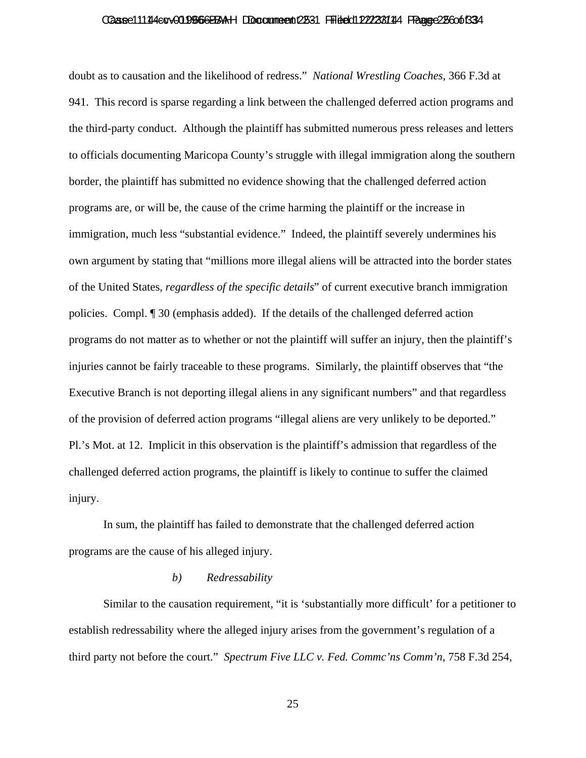# Casse11114ecv019666BAH DDccumeent 2531 Filed 012223114 Fagge 25 co 6334

doubt as to causation and the likelihood of redress." *National Wrestling Coaches*, 366 F.3d at 941. This record is sparse regarding a link between the challenged deferred action programs and the third-party conduct. Although the plaintiff has submitted numerous press releases and letters to officials documenting Maricopa County's struggle with illegal immigration along the southern border, the plaintiff has submitted no evidence showing that the challenged deferred action programs are, or will be, the cause of the crime harming the plaintiff or the increase in immigration, much less "substantial evidence." Indeed, the plaintiff severely undermines his own argument by stating that "millions more illegal aliens will be attracted into the border states of the United States, *regardless of the specific details*" of current executive branch immigration policies. Compl. ¶ 30 (emphasis added). If the details of the challenged deferred action programs do not matter as to whether or not the plaintiff will suffer an injury, then the plaintiff's injuries cannot be fairly traceable to these programs. Similarly, the plaintiff observes that "the Executive Branch is not deporting illegal aliens in any significant numbers" and that regardless of the provision of deferred action programs "illegal aliens are very unlikely to be deported." Pl.'s Mot. at 12. Implicit in this observation is the plaintiff's admission that regardless of the challenged deferred action programs, the plaintiff is likely to continue to suffer the claimed injury.

In sum, the plaintiff has failed to demonstrate that the challenged deferred action programs are the cause of his alleged injury.

#### *b) Redressability*

Similar to the causation requirement, "it is 'substantially more difficult' for a petitioner to establish redressability where the alleged injury arises from the government's regulation of a third party not before the court." *Spectrum Five LLC v. Fed. Commc'ns Comm'n*, 758 F.3d 254,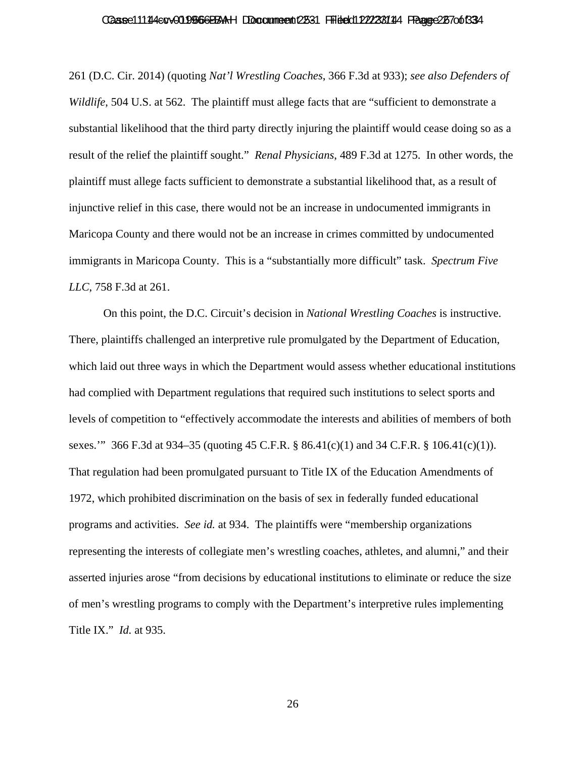#### Caase 111 14 4 cov 01 0 966 BBA H DDocume ent 2531 Fried dit 27 23 81 114 France 26 70 0 13 34

261 (D.C. Cir. 2014) (quoting *Nat'l Wrestling Coaches*, 366 F.3d at 933); *see also Defenders of Wildlife*, 504 U.S. at 562. The plaintiff must allege facts that are "sufficient to demonstrate a substantial likelihood that the third party directly injuring the plaintiff would cease doing so as a result of the relief the plaintiff sought." *Renal Physicians*, 489 F.3d at 1275. In other words, the plaintiff must allege facts sufficient to demonstrate a substantial likelihood that, as a result of injunctive relief in this case, there would not be an increase in undocumented immigrants in Maricopa County and there would not be an increase in crimes committed by undocumented immigrants in Maricopa County. This is a "substantially more difficult" task. *Spectrum Five LLC*, 758 F.3d at 261.

On this point, the D.C. Circuit's decision in *National Wrestling Coaches* is instructive. There, plaintiffs challenged an interpretive rule promulgated by the Department of Education, which laid out three ways in which the Department would assess whether educational institutions had complied with Department regulations that required such institutions to select sports and levels of competition to "effectively accommodate the interests and abilities of members of both sexes." 366 F.3d at 934–35 (quoting 45 C.F.R. § 86.41(c)(1) and 34 C.F.R. § 106.41(c)(1)). That regulation had been promulgated pursuant to Title IX of the Education Amendments of 1972, which prohibited discrimination on the basis of sex in federally funded educational programs and activities. *See id.* at 934. The plaintiffs were "membership organizations representing the interests of collegiate men's wrestling coaches, athletes, and alumni," and their asserted injuries arose "from decisions by educational institutions to eliminate or reduce the size of men's wrestling programs to comply with the Department's interpretive rules implementing Title IX." *Id.* at 935.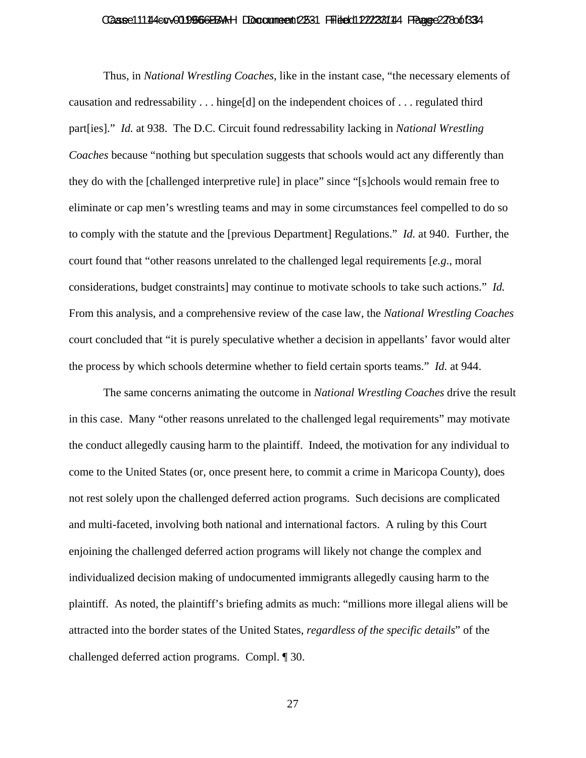#### Caase 11144 cv 019666 BAH DDocume ent 2531 Fried dit 27238144 France 27800 B34

Thus, in *National Wrestling Coaches*, like in the instant case, "the necessary elements of causation and redressability . . . hinge[d] on the independent choices of . . . regulated third part[ies]." *Id.* at 938. The D.C. Circuit found redressability lacking in *National Wrestling Coaches* because "nothing but speculation suggests that schools would act any differently than they do with the [challenged interpretive rule] in place" since "[s]chools would remain free to eliminate or cap men's wrestling teams and may in some circumstances feel compelled to do so to comply with the statute and the [previous Department] Regulations." *Id.* at 940. Further, the court found that "other reasons unrelated to the challenged legal requirements [*e.g*., moral considerations, budget constraints] may continue to motivate schools to take such actions." *Id.* From this analysis, and a comprehensive review of the case law, the *National Wrestling Coaches* court concluded that "it is purely speculative whether a decision in appellants' favor would alter the process by which schools determine whether to field certain sports teams." *Id.* at 944.

The same concerns animating the outcome in *National Wrestling Coaches* drive the result in this case. Many "other reasons unrelated to the challenged legal requirements" may motivate the conduct allegedly causing harm to the plaintiff. Indeed, the motivation for any individual to come to the United States (or, once present here, to commit a crime in Maricopa County), does not rest solely upon the challenged deferred action programs. Such decisions are complicated and multi-faceted, involving both national and international factors. A ruling by this Court enjoining the challenged deferred action programs will likely not change the complex and individualized decision making of undocumented immigrants allegedly causing harm to the plaintiff. As noted, the plaintiff's briefing admits as much: "millions more illegal aliens will be attracted into the border states of the United States, *regardless of the specific details*" of the challenged deferred action programs. Compl. ¶ 30.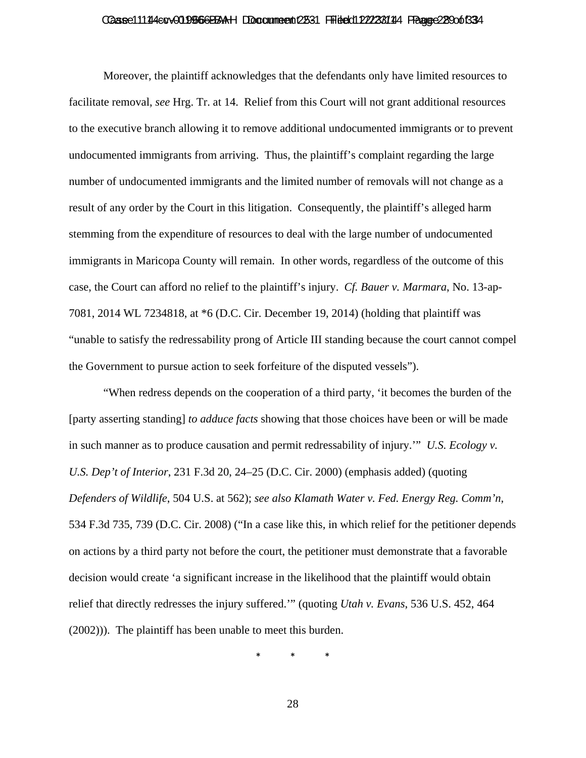# Casse11114ecv019666BAH DDccumeent 2531 Filed 012223114 Fagge 229 of 334

Moreover, the plaintiff acknowledges that the defendants only have limited resources to facilitate removal, *see* Hrg. Tr. at 14. Relief from this Court will not grant additional resources to the executive branch allowing it to remove additional undocumented immigrants or to prevent undocumented immigrants from arriving. Thus, the plaintiff's complaint regarding the large number of undocumented immigrants and the limited number of removals will not change as a result of any order by the Court in this litigation. Consequently, the plaintiff's alleged harm stemming from the expenditure of resources to deal with the large number of undocumented immigrants in Maricopa County will remain. In other words, regardless of the outcome of this case, the Court can afford no relief to the plaintiff's injury. *Cf. Bauer v. Marmara*, No. 13-ap-7081, 2014 WL 7234818, at \*6 (D.C. Cir. December 19, 2014) (holding that plaintiff was "unable to satisfy the redressability prong of Article III standing because the court cannot compel the Government to pursue action to seek forfeiture of the disputed vessels").

"When redress depends on the cooperation of a third party, 'it becomes the burden of the [party asserting standing] *to adduce facts* showing that those choices have been or will be made in such manner as to produce causation and permit redressability of injury.'" *U.S. Ecology v. U.S. Dep't of Interior*, 231 F.3d 20, 24–25 (D.C. Cir. 2000) (emphasis added) (quoting *Defenders of Wildlife*, 504 U.S. at 562); *see also Klamath Water v. Fed. Energy Reg. Comm'n*, 534 F.3d 735, 739 (D.C. Cir. 2008) ("In a case like this, in which relief for the petitioner depends on actions by a third party not before the court, the petitioner must demonstrate that a favorable decision would create 'a significant increase in the likelihood that the plaintiff would obtain relief that directly redresses the injury suffered.'" (quoting *Utah v. Evans*, 536 U.S. 452, 464 (2002))). The plaintiff has been unable to meet this burden.

\* \* \*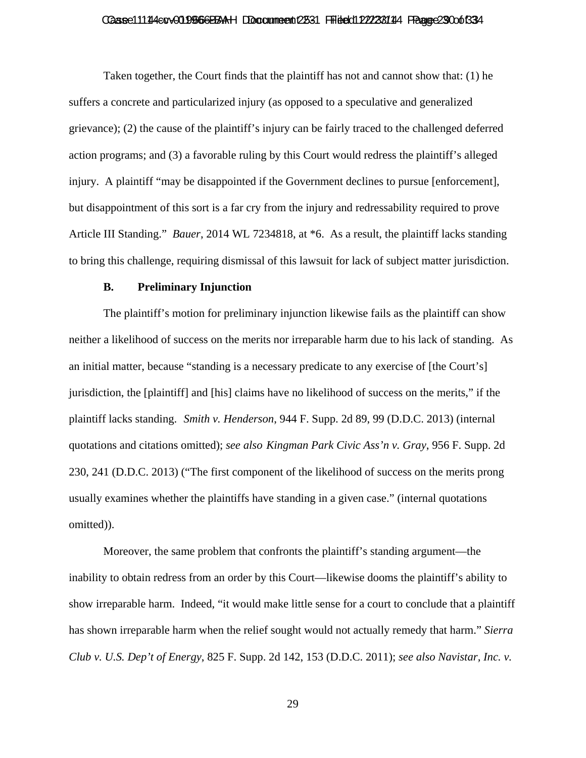#### Caase 11144 cv 019666 BAAH DDocume ent 2531 Fried dit 22/23/144 France 29 Oot 334

Taken together, the Court finds that the plaintiff has not and cannot show that: (1) he suffers a concrete and particularized injury (as opposed to a speculative and generalized grievance); (2) the cause of the plaintiff's injury can be fairly traced to the challenged deferred action programs; and (3) a favorable ruling by this Court would redress the plaintiff's alleged injury. A plaintiff "may be disappointed if the Government declines to pursue [enforcement], but disappointment of this sort is a far cry from the injury and redressability required to prove Article III Standing." *Bauer*, 2014 WL 7234818, at \*6. As a result, the plaintiff lacks standing to bring this challenge, requiring dismissal of this lawsuit for lack of subject matter jurisdiction.

### **B. Preliminary Injunction**

The plaintiff's motion for preliminary injunction likewise fails as the plaintiff can show neither a likelihood of success on the merits nor irreparable harm due to his lack of standing. As an initial matter, because "standing is a necessary predicate to any exercise of [the Court's] jurisdiction, the [plaintiff] and [his] claims have no likelihood of success on the merits," if the plaintiff lacks standing. *Smith v. Henderson*, 944 F. Supp. 2d 89, 99 (D.D.C. 2013) (internal quotations and citations omitted); *see also Kingman Park Civic Ass'n v. Gray*, 956 F. Supp. 2d 230, 241 (D.D.C. 2013) ("The first component of the likelihood of success on the merits prong usually examines whether the plaintiffs have standing in a given case." (internal quotations omitted)).

Moreover, the same problem that confronts the plaintiff's standing argument—the inability to obtain redress from an order by this Court—likewise dooms the plaintiff's ability to show irreparable harm. Indeed, "it would make little sense for a court to conclude that a plaintiff has shown irreparable harm when the relief sought would not actually remedy that harm." *Sierra Club v. U.S. Dep't of Energy*, 825 F. Supp. 2d 142, 153 (D.D.C. 2011); *see also Navistar, Inc. v.*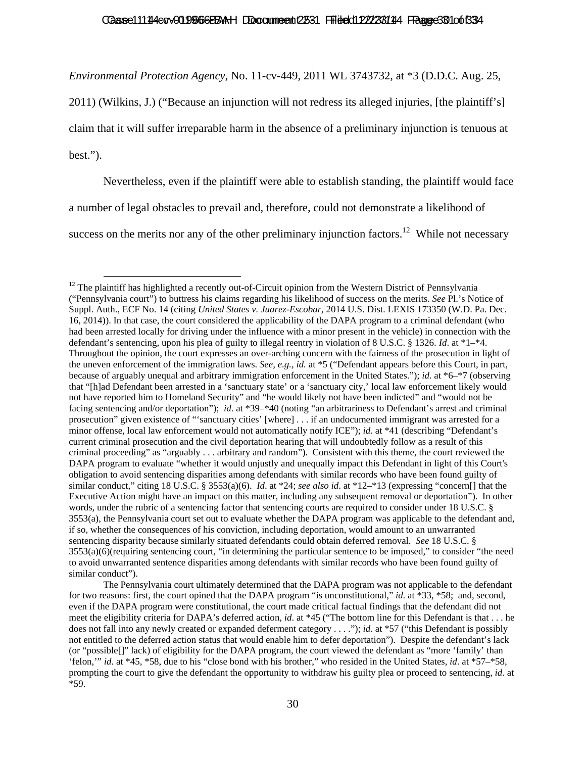#### Caase 11144 cv 019566 BBAH DDocume ent 2531 Filed 012/238144 Fraage 30 10 0 1334

*Environmental Protection Agency*, No. 11-cv-449, 2011 WL 3743732, at \*3 (D.D.C. Aug. 25,

2011) (Wilkins, J.) ("Because an injunction will not redress its alleged injuries, [the plaintiff's] claim that it will suffer irreparable harm in the absence of a preliminary injunction is tenuous at

best.").

Nevertheless, even if the plaintiff were able to establish standing, the plaintiff would face

a number of legal obstacles to prevail and, therefore, could not demonstrate a likelihood of

success on the merits nor any of the other preliminary injunction factors.<sup>12</sup> While not necessary

 $12$  The plaintiff has highlighted a recently out-of-Circuit opinion from the Western District of Pennsylvania ("Pennsylvania court") to buttress his claims regarding his likelihood of success on the merits. *See* Pl.'s Notice of Suppl. Auth., ECF No. 14 (citing *United States v. Juarez-Escobar*, 2014 U.S. Dist. LEXIS 173350 (W.D. Pa. Dec. 16, 2014)). In that case, the court considered the applicability of the DAPA program to a criminal defendant (who had been arrested locally for driving under the influence with a minor present in the vehicle) in connection with the defendant's sentencing, upon his plea of guilty to illegal reentry in violation of 8 U.S.C. § 1326. *Id*. at \*1–\*4. Throughout the opinion, the court expresses an over-arching concern with the fairness of the prosecution in light of the uneven enforcement of the immigration laws. *See, e.g.*, *id.* at \*5 ("Defendant appears before this Court, in part, because of arguably unequal and arbitrary immigration enforcement in the United States."); *id*. at \*6–\*7 (observing that "[h]ad Defendant been arrested in a 'sanctuary state' or a 'sanctuary city,' local law enforcement likely would not have reported him to Homeland Security" and "he would likely not have been indicted" and "would not be facing sentencing and/or deportation"); *id*. at \*39–\*40 (noting "an arbitrariness to Defendant's arrest and criminal prosecution" given existence of "'sanctuary cities' [where] . . . if an undocumented immigrant was arrested for a minor offense, local law enforcement would not automatically notify ICE"); *id*. at \*41 (describing "Defendant's current criminal prosecution and the civil deportation hearing that will undoubtedly follow as a result of this criminal proceeding" as "arguably . . . arbitrary and random"). Consistent with this theme, the court reviewed the DAPA program to evaluate "whether it would unjustly and unequally impact this Defendant in light of this Court's obligation to avoid sentencing disparities among defendants with similar records who have been found guilty of similar conduct," citing 18 U.S.C. § 3553(a)(6). *Id.* at \*24; *see also id.* at \*12–\*13 (expressing "concern[] that the Executive Action might have an impact on this matter, including any subsequent removal or deportation"). In other words, under the rubric of a sentencing factor that sentencing courts are required to consider under 18 U.S.C. § 3553(a), the Pennsylvania court set out to evaluate whether the DAPA program was applicable to the defendant and, if so, whether the consequences of his conviction, including deportation, would amount to an unwarranted sentencing disparity because similarly situated defendants could obtain deferred removal. *See* 18 U.S.C. § 3553(a)(6)(requiring sentencing court, "in determining the particular sentence to be imposed," to consider "the need to avoid unwarranted sentence disparities among defendants with similar records who have been found guilty of similar conduct").

The Pennsylvania court ultimately determined that the DAPA program was not applicable to the defendant for two reasons: first, the court opined that the DAPA program "is unconstitutional," *id*. at \*33, \*58; and, second, even if the DAPA program were constitutional, the court made critical factual findings that the defendant did not meet the eligibility criteria for DAPA's deferred action, *id*. at \*45 ("The bottom line for this Defendant is that . . . he does not fall into any newly created or expanded deferment category . . . ."); *id*. at \*57 ("this Defendant is possibly not entitled to the deferred action status that would enable him to defer deportation"). Despite the defendant's lack (or "possible[]" lack) of eligibility for the DAPA program, the court viewed the defendant as "more 'family' than 'felon,'" *id*. at \*45, \*58, due to his "close bond with his brother," who resided in the United States, *id*. at \*57–\*58, prompting the court to give the defendant the opportunity to withdraw his guilty plea or proceed to sentencing, *id*. at \*59.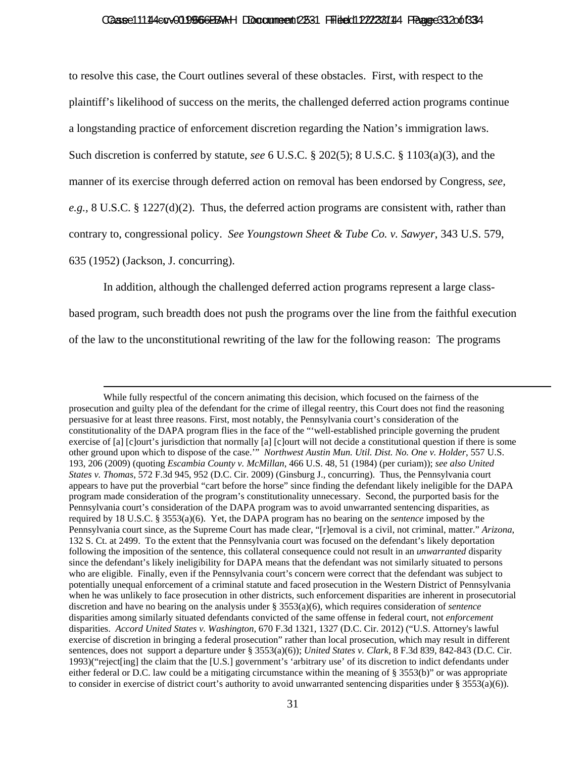#### Caase 11144 cv 019566 BBAH DDocume ent 2531 Filed 012/238144 Fraage 31 2006 33 4

to resolve this case, the Court outlines several of these obstacles. First, with respect to the plaintiff's likelihood of success on the merits, the challenged deferred action programs continue a longstanding practice of enforcement discretion regarding the Nation's immigration laws. Such discretion is conferred by statute, *see* 6 U.S.C. § 202(5); 8 U.S.C. § 1103(a)(3), and the manner of its exercise through deferred action on removal has been endorsed by Congress, *see, e.g.,* 8 U.S.C. § 1227(d)(2). Thus, the deferred action programs are consistent with, rather than contrary to, congressional policy. *See Youngstown Sheet & Tube Co. v. Sawyer*, 343 U.S. 579, 635 (1952) (Jackson, J. concurring).

In addition, although the challenged deferred action programs represent a large class-

based program, such breadth does not push the programs over the line from the faithful execution of the law to the unconstitutional rewriting of the law for the following reason: The programs

While fully respectful of the concern animating this decision, which focused on the fairness of the prosecution and guilty plea of the defendant for the crime of illegal reentry, this Court does not find the reasoning persuasive for at least three reasons. First, most notably, the Pennsylvania court's consideration of the constitutionality of the DAPA program flies in the face of the "'well-established principle governing the prudent exercise of [a] [c]ourt's jurisdiction that normally [a] [c]ourt will not decide a constitutional question if there is some other ground upon which to dispose of the case.'"*Northwest Austin Mun. Util. Dist. No. One v. Holder*, 557 U.S. 193, 206 (2009) (quoting *Escambia County v. McMillan*, 466 U.S. 48, 51 (1984) (per curiam)); *see also United States v. Thomas*, 572 F.3d 945, 952 (D.C. Cir. 2009) (Ginsburg J., concurring). Thus, the Pennsylvania court appears to have put the proverbial "cart before the horse" since finding the defendant likely ineligible for the DAPA program made consideration of the program's constitutionality unnecessary. Second, the purported basis for the Pennsylvania court's consideration of the DAPA program was to avoid unwarranted sentencing disparities, as required by 18 U.S.C. § 3553(a)(6). Yet, the DAPA program has no bearing on the *sentence* imposed by the Pennsylvania court since, as the Supreme Court has made clear, "[r]emoval is a civil, not criminal, matter." *Arizona*, 132 S. Ct. at 2499. To the extent that the Pennsylvania court was focused on the defendant's likely deportation following the imposition of the sentence, this collateral consequence could not result in an *unwarranted* disparity since the defendant's likely ineligibility for DAPA means that the defendant was not similarly situated to persons who are eligible. Finally, even if the Pennsylvania court's concern were correct that the defendant was subject to potentially unequal enforcement of a criminal statute and faced prosecution in the Western District of Pennsylvania when he was unlikely to face prosecution in other districts, such enforcement disparities are inherent in prosecutorial discretion and have no bearing on the analysis under § 3553(a)(6), which requires consideration of *sentence* disparities among similarly situated defendants convicted of the same offense in federal court, not *enforcement* disparities. *Accord United States v. Washington,* 670 F.3d 1321, 1327 (D.C. Cir. 2012) ("U.S. Attorney's lawful exercise of discretion in bringing a federal prosecution" rather than local prosecution, which may result in different sentences, does not support a departure under § 3553(a)(6)); *United States v. Clark,* 8 F.3d 839, 842-843 (D.C. Cir. 1993)("reject[ing] the claim that the [U.S.] government's 'arbitrary use' of its discretion to indict defendants under either federal or D.C. law could be a mitigating circumstance within the meaning of § 3553(b)" or was appropriate to consider in exercise of district court's authority to avoid unwarranted sentencing disparities under  $\S 3553(a)(6)$ ).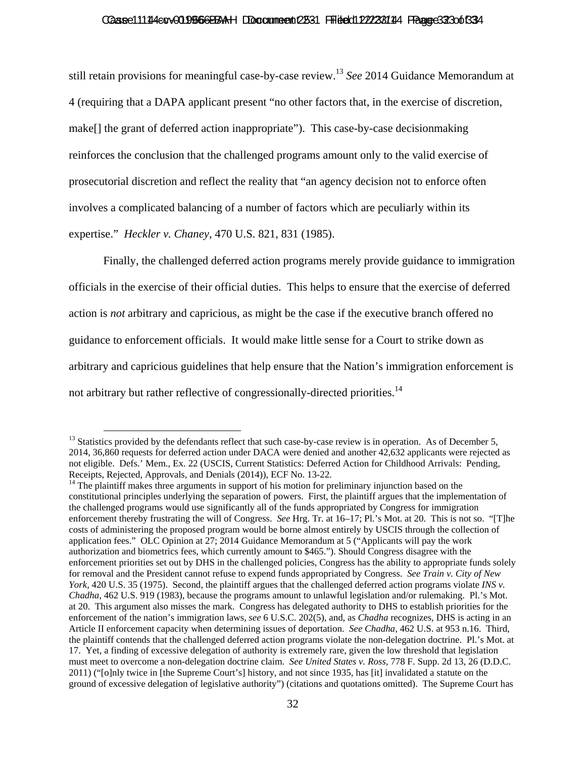#### Caase 111 14 co v 01 956 6 BBAH DDocume ent 2531 Fried dit 22/23/114 France 32 30 of 33 4

still retain provisions for meaningful case-by-case review.13 *See* 2014 Guidance Memorandum at 4 (requiring that a DAPA applicant present "no other factors that, in the exercise of discretion, make[] the grant of deferred action inappropriate"). This case-by-case decisionmaking reinforces the conclusion that the challenged programs amount only to the valid exercise of prosecutorial discretion and reflect the reality that "an agency decision not to enforce often involves a complicated balancing of a number of factors which are peculiarly within its expertise." *Heckler v. Chaney*, 470 U.S. 821, 831 (1985).

Finally, the challenged deferred action programs merely provide guidance to immigration officials in the exercise of their official duties. This helps to ensure that the exercise of deferred action is *not* arbitrary and capricious, as might be the case if the executive branch offered no guidance to enforcement officials. It would make little sense for a Court to strike down as arbitrary and capricious guidelines that help ensure that the Nation's immigration enforcement is not arbitrary but rather reflective of congressionally-directed priorities.<sup>14</sup>

 $13$  Statistics provided by the defendants reflect that such case-by-case review is in operation. As of December 5, 2014, 36,860 requests for deferred action under DACA were denied and another 42,632 applicants were rejected as not eligible. Defs.' Mem., Ex. 22 (USCIS, Current Statistics: Deferred Action for Childhood Arrivals: Pending, Receipts, Rejected, Approvals, and Denials (2014)), ECF No. 13-22.<br><sup>14</sup> The plaintiff makes three arguments in support of his motion for preliminary injunction based on the

constitutional principles underlying the separation of powers. First, the plaintiff argues that the implementation of the challenged programs would use significantly all of the funds appropriated by Congress for immigration enforcement thereby frustrating the will of Congress. *See* Hrg. Tr. at 16–17; Pl.'s Mot. at 20. This is not so. "[T]he costs of administering the proposed program would be borne almost entirely by USCIS through the collection of application fees." OLC Opinion at 27; 2014 Guidance Memorandum at 5 ("Applicants will pay the work authorization and biometrics fees, which currently amount to \$465."). Should Congress disagree with the enforcement priorities set out by DHS in the challenged policies, Congress has the ability to appropriate funds solely for removal and the President cannot refuse to expend funds appropriated by Congress. *See Train v. City of New York*, 420 U.S. 35 (1975). Second, the plaintiff argues that the challenged deferred action programs violate *INS v. Chadha*, 462 U.S. 919 (1983), because the programs amount to unlawful legislation and/or rulemaking. Pl.'s Mot. at 20. This argument also misses the mark. Congress has delegated authority to DHS to establish priorities for the enforcement of the nation's immigration laws, *see* 6 U.S.C. 202(5), and, as *Chadha* recognizes, DHS is acting in an Article II enforcement capacity when determining issues of deportation. *See Chadha*, 462 U.S. at 953 n.16. Third, the plaintiff contends that the challenged deferred action programs violate the non-delegation doctrine. Pl.'s Mot. at 17. Yet, a finding of excessive delegation of authority is extremely rare, given the low threshold that legislation must meet to overcome a non-delegation doctrine claim. *See United States v. Ross*, 778 F. Supp. 2d 13, 26 (D.D.C. 2011) ("[o]nly twice in [the Supreme Court's] history, and not since 1935, has [it] invalidated a statute on the ground of excessive delegation of legislative authority") (citations and quotations omitted). The Supreme Court has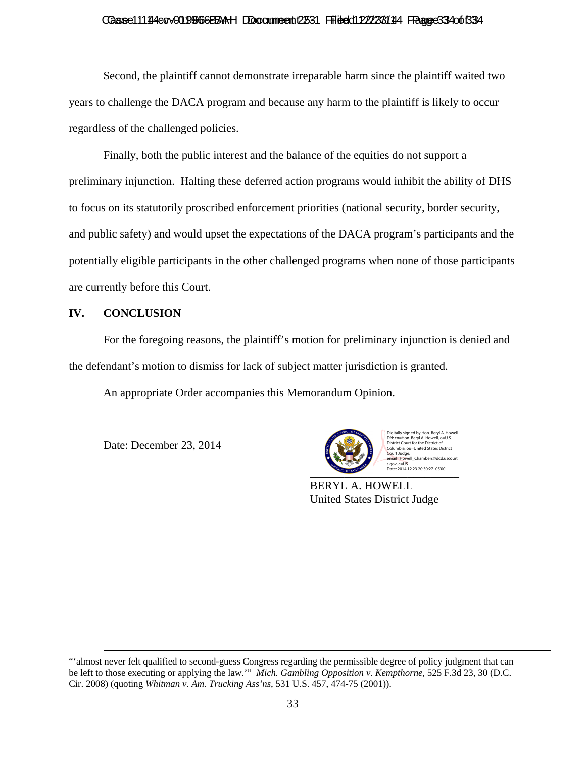## Casse11114etv019566BBAH DDocumeent 2531 Filed d122238114 Fagge334 of 334

Second, the plaintiff cannot demonstrate irreparable harm since the plaintiff waited two years to challenge the DACA program and because any harm to the plaintiff is likely to occur regardless of the challenged policies.

Finally, both the public interest and the balance of the equities do not support a preliminary injunction. Halting these deferred action programs would inhibit the ability of DHS to focus on its statutorily proscribed enforcement priorities (national security, border security, and public safety) and would upset the expectations of the DACA program's participants and the potentially eligible participants in the other challenged programs when none of those participants are currently before this Court.

## **IV. CONCLUSION**

For the foregoing reasons, the plaintiff's motion for preliminary injunction is denied and the defendant's motion to dismiss for lack of subject matter jurisdiction is granted.

An appropriate Order accompanies this Memorandum Opinion.

Date: December 23, 2014



Digitally signed by Hon. Beryl A. Howell n. Beryl A. Howell, o=U.S District Court for the District of Columbia, ou=United States District Court Judge, email=Howell\_Chambers@dcd.uscourt

BERYL A. HOWELL United States District Judge

 <sup>&</sup>quot;'almost never felt qualified to second-guess Congress regarding the permissible degree of policy judgment that can be left to those executing or applying the law.'" *Mich. Gambling Opposition v. Kempthorne*, 525 F.3d 23, 30 (D.C. Cir. 2008) (quoting *Whitman v. Am. Trucking Ass'ns*, 531 U.S. 457, 474-75 (2001)).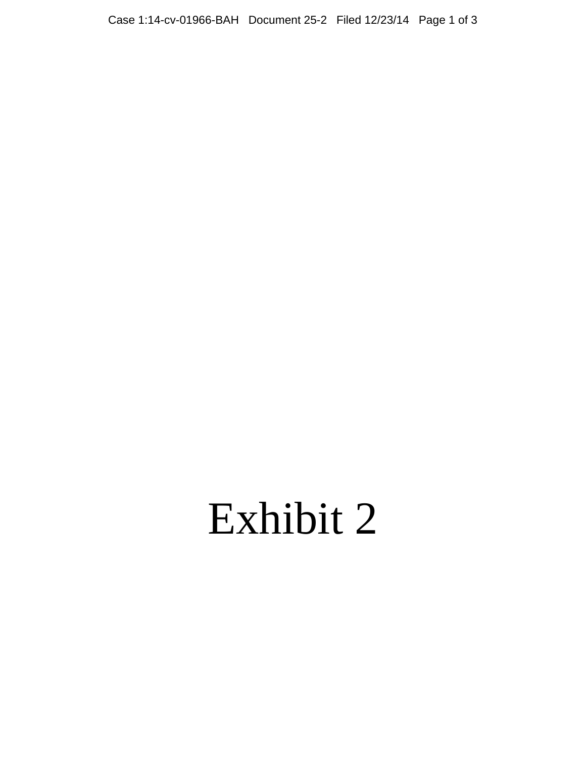# Exhibit 2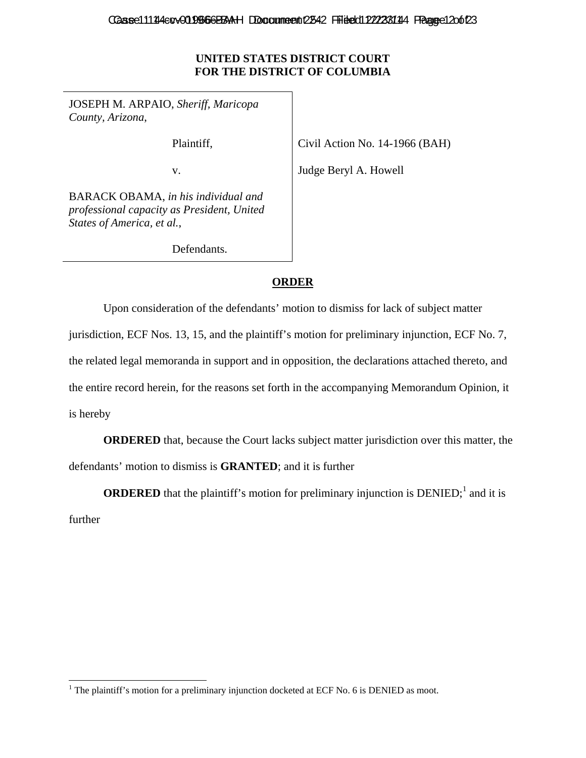# **UNITED STATES DISTRICT COURT FOR THE DISTRICT OF COLUMBIA**

JOSEPH M. ARPAIO, *Sheriff, Maricopa County, Arizona*,

Plaintiff,

Civil Action No. 14-1966 (BAH)

v.

Judge Beryl A. Howell

BARACK OBAMA, *in his individual and professional capacity as President, United States of America, et al.*,

Defendants.

# **ORDER**

Upon consideration of the defendants' motion to dismiss for lack of subject matter

jurisdiction, ECF Nos. 13, 15, and the plaintiff's motion for preliminary injunction, ECF No. 7,

the related legal memoranda in support and in opposition, the declarations attached thereto, and

the entire record herein, for the reasons set forth in the accompanying Memorandum Opinion, it

is hereby

**ORDERED** that, because the Court lacks subject matter jurisdiction over this matter, the defendants' motion to dismiss is **GRANTED**; and it is further

**ORDERED** that the plaintiff's motion for preliminary injunction is  $DENIED;$ <sup>1</sup> and it is further

<sup>&</sup>lt;sup>1</sup> The plaintiff's motion for a preliminary injunction docketed at ECF No. 6 is DENIED as moot.